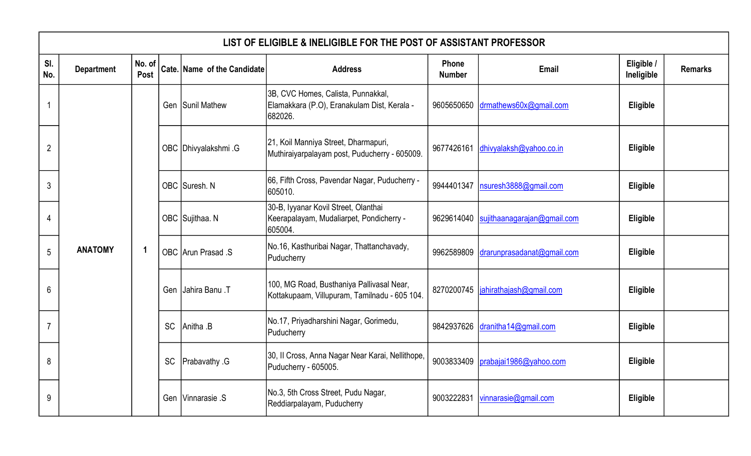|                | LIST OF ELIGIBLE & INELIGIBLE FOR THE POST OF ASSISTANT PROFESSOR |                |           |                             |                                                                                              |                        |                             |                          |                |  |  |  |
|----------------|-------------------------------------------------------------------|----------------|-----------|-----------------------------|----------------------------------------------------------------------------------------------|------------------------|-----------------------------|--------------------------|----------------|--|--|--|
| SI.<br>No.     | <b>Department</b>                                                 | No. of<br>Post |           | Cate. Name of the Candidate | <b>Address</b>                                                                               | Phone<br><b>Number</b> | Email                       | Eligible /<br>Ineligible | <b>Remarks</b> |  |  |  |
|                |                                                                   |                |           | Gen Sunil Mathew            | 3B, CVC Homes, Calista, Punnakkal,<br>Elamakkara (P.O), Eranakulam Dist, Kerala -<br>682026. | 9605650650             | drmathews60x@gmail.com      | Eligible                 |                |  |  |  |
| $\overline{2}$ |                                                                   |                |           | OBC Dhivyalakshmi .G        | 21, Koil Manniya Street, Dharmapuri,<br>Muthiraiyarpalayam post, Puducherry - 605009.        | 9677426161             | dhivyalaksh@yahoo.co.in     | Eligible                 |                |  |  |  |
| 3              |                                                                   |                |           | OBC Suresh. N               | 66, Fifth Cross, Pavendar Nagar, Puducherry -<br>605010.                                     | 9944401347             | nsuresh3888@gmail.com       | Eligible                 |                |  |  |  |
| 4              |                                                                   |                |           | OBC Sujithaa. N             | 30-B, Iyyanar Kovil Street, Olanthai<br>Keerapalayam, Mudaliarpet, Pondicherry -<br>605004.  | 9629614040             | sujithaanagarajan@gmail.com | Eligible                 |                |  |  |  |
| 5              | <b>ANATOMY</b>                                                    | -1             |           | OBC Arun Prasad .S          | No.16, Kasthuribai Nagar, Thattanchavady,<br>Puducherry                                      | 9962589809             | drarunprasadanat@gmail.com  | Eligible                 |                |  |  |  |
| 6              |                                                                   |                |           | Gen Jahira Banu .T          | 100, MG Road, Busthaniya Pallivasal Near,<br>Kottakupaam, Villupuram, Tamilnadu - 605 104.   | 8270200745             | jahirathajash@gmail.com     | Eligible                 |                |  |  |  |
|                |                                                                   |                | <b>SC</b> | Anitha .B                   | No.17, Priyadharshini Nagar, Gorimedu,<br>Puducherry                                         | 9842937626             | dranitha14@gmail.com        | Eligible                 |                |  |  |  |
| 8              |                                                                   |                | <b>SC</b> | <b>Prabavathy G</b>         | 30, Il Cross, Anna Nagar Near Karai, Nellithope,<br>Puducherry - 605005.                     | 9003833409             | prabajai1986@yahoo.com      | Eligible                 |                |  |  |  |
| 9              |                                                                   |                |           | Gen   Vinnarasie S          | No.3, 5th Cross Street, Pudu Nagar,<br>Reddiarpalayam, Puducherry                            | 9003222831             | vinnarasie@gmail.com        | Eligible                 |                |  |  |  |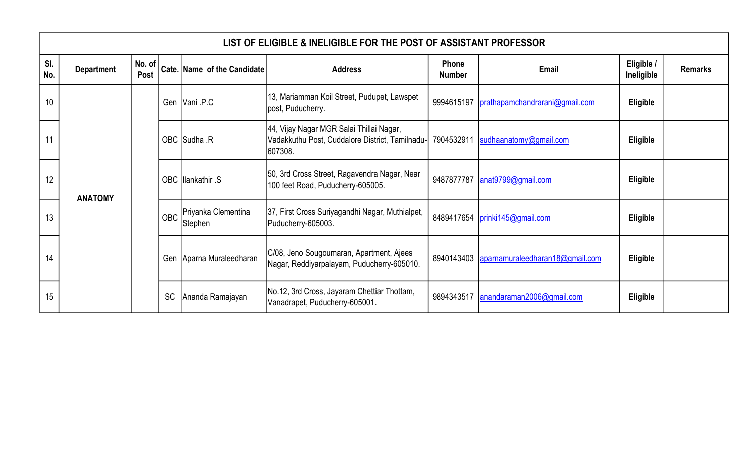|            | LIST OF ELIGIBLE & INELIGIBLE FOR THE POST OF ASSISTANT PROFESSOR |                |           |                             |                                                                                                        |                        |                                            |                                                                       |                |                     |          |  |
|------------|-------------------------------------------------------------------|----------------|-----------|-----------------------------|--------------------------------------------------------------------------------------------------------|------------------------|--------------------------------------------|-----------------------------------------------------------------------|----------------|---------------------|----------|--|
| SI.<br>No. | <b>Department</b>                                                 | No. of<br>Post |           | Cate. Name of the Candidate | <b>Address</b>                                                                                         | Phone<br><b>Number</b> | <b>Email</b>                               | Eligible /<br>Ineligible                                              | <b>Remarks</b> |                     |          |  |
| 10         |                                                                   |                |           | Gen   Vani .P.C             | 13, Mariamman Koil Street, Pudupet, Lawspet<br>post, Puducherry.                                       | 9994615197             | prathapamchandrarani@gmail.com             | Eligible                                                              |                |                     |          |  |
| 11         |                                                                   |                |           | OBC Sudha .R                | 44, Vijay Nagar MGR Salai Thillai Nagar,<br>Vadakkuthu Post, Cuddalore District, Tamilnadu-<br>607308. |                        | 7904532911  sudhaanatomy@gmail.com         | Eligible                                                              |                |                     |          |  |
| 12         | <b>ANATOMY</b>                                                    |                |           | OBC Illankathir .S          | 50, 3rd Cross Street, Ragavendra Nagar, Near<br>100 feet Road, Puducherry-605005.                      | 9487877787             | $\arctan 9799$ @gmail.com                  | Eligible                                                              |                |                     |          |  |
| 13         |                                                                   |                |           |                             |                                                                                                        | <b>OBC</b>             | Priyanka Clementina<br>Stephen             | 37, First Cross Suriyagandhi Nagar, Muthialpet,<br>Puducherry-605003. | 8489417654     | prinki145@gmail.com | Eligible |  |
| 14         |                                                                   |                |           | Gen Aparna Muraleedharan    | C/08, Jeno Sougoumaran, Apartment, Ajees<br>Nagar, Reddiyarpalayam, Puducherry-605010.                 |                        | 8940143403 aparnamuraleedharan18@gmail.com | Eligible                                                              |                |                     |          |  |
| 15         |                                                                   |                | <b>SC</b> | Ananda Ramajayan            | No.12, 3rd Cross, Jayaram Chettiar Thottam,<br>Vanadrapet, Puducherry-605001.                          | 9894343517             | anandaraman2006@gmail.com                  | Eligible                                                              |                |                     |          |  |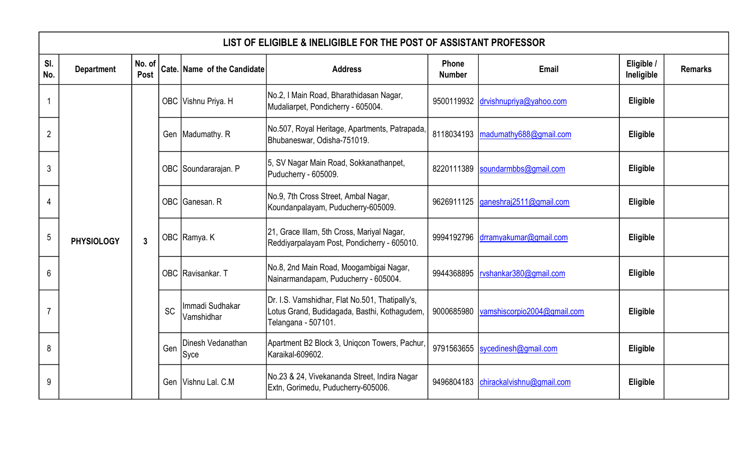|                | LIST OF ELIGIBLE & INELIGIBLE FOR THE POST OF ASSISTANT PROFESSOR |                |           |                               |                                                                                                                        |                        |                                        |                          |                |  |  |
|----------------|-------------------------------------------------------------------|----------------|-----------|-------------------------------|------------------------------------------------------------------------------------------------------------------------|------------------------|----------------------------------------|--------------------------|----------------|--|--|
| SI.<br>No.     | <b>Department</b>                                                 | No. of<br>Post |           | Cate. Name of the Candidate   | <b>Address</b>                                                                                                         | Phone<br><b>Number</b> | Email                                  | Eligible /<br>Ineligible | <b>Remarks</b> |  |  |
| 1              |                                                                   |                |           | OBC Vishnu Priya. H           | No.2, I Main Road, Bharathidasan Nagar,<br>Mudaliarpet, Pondicherry - 605004.                                          |                        | 9500119932 drvishnupriya@yahoo.com     | Eligible                 |                |  |  |
| $\overline{2}$ |                                                                   |                |           | Gen   Madumathy. R            | No.507, Royal Heritage, Apartments, Patrapada,<br>Bhubaneswar, Odisha-751019.                                          |                        | 8118034193   madumathy 688@gmail.com   | Eligible                 |                |  |  |
| 3              |                                                                   |                |           | OBC Soundararajan. P          | 5, SV Nagar Main Road, Sokkanathanpet,<br>Puducherry - 605009.                                                         |                        | 8220111389  soundarmbbs@gmail.com      | Eligible                 |                |  |  |
| 4              |                                                                   |                |           | OBC Ganesan. R                | No.9, 7th Cross Street, Ambal Nagar,<br>Koundanpalayam, Puducherry-605009.                                             |                        | 9626911125 ganeshraj2511@gmail.com     | Eligible                 |                |  |  |
| 5              | <b>PHYSIOLOGY</b>                                                 | $\overline{3}$ |           | OBC Ramya. K                  | 21, Grace Illam, 5th Cross, Mariyal Nagar,<br>Reddiyarpalayam Post, Pondicherry - 605010.                              |                        | 9994192796 drramyakumar@gmail.com      | Eligible                 |                |  |  |
| 6              |                                                                   |                |           | OBC Ravisankar. T             | No.8, 2nd Main Road, Moogambigai Nagar,<br>Nainarmandapam, Puducherry - 605004.                                        | 9944368895             | rvshankar380@gmail.com                 | Eligible                 |                |  |  |
|                |                                                                   |                | <b>SC</b> | Immadi Sudhakar<br>Vamshidhar | Dr. I.S. Vamshidhar, Flat No.501, Thatipally's,<br>Lotus Grand, Budidagada, Basthi, Kothagudem,<br>Telangana - 507101. |                        | 9000685980 vamshiscorpio2004@gmail.com | Eligible                 |                |  |  |
| 8              |                                                                   |                | Gen       | Dinesh Vedanathan<br>Syce     | Apartment B2 Block 3, Uniqcon Towers, Pachur,<br>Karaikal-609602.                                                      | 9791563655             | sycedinesh@gmail.com                   | Eligible                 |                |  |  |
| 9              |                                                                   |                |           | Gen Vishnu Lal. C.M           | No.23 & 24, Vivekananda Street, Indira Nagar<br>Extn, Gorimedu, Puducherry-605006.                                     |                        | 9496804183 chirackalvishnu@gmail.com   | Eligible                 |                |  |  |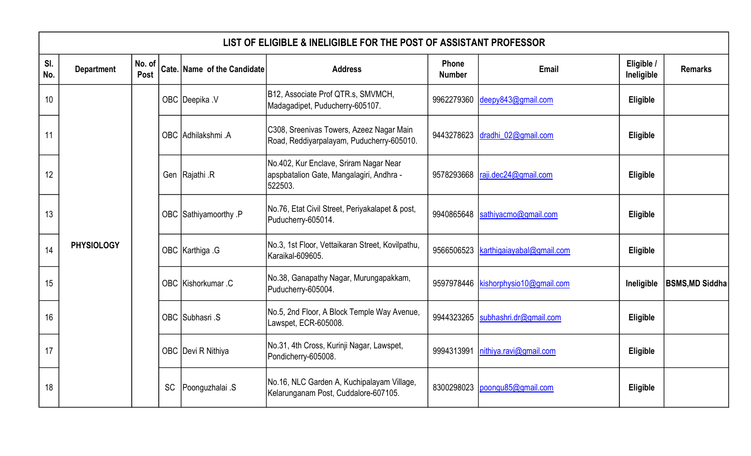|            | LIST OF ELIGIBLE & INELIGIBLE FOR THE POST OF ASSISTANT PROFESSOR |                |           |                             |                                                                                               |                        |                                     |                          |                        |  |  |
|------------|-------------------------------------------------------------------|----------------|-----------|-----------------------------|-----------------------------------------------------------------------------------------------|------------------------|-------------------------------------|--------------------------|------------------------|--|--|
| SI.<br>No. | <b>Department</b>                                                 | No. of<br>Post |           | Cate. Name of the Candidate | <b>Address</b>                                                                                | Phone<br><b>Number</b> | Email                               | Eligible /<br>Ineligible | <b>Remarks</b>         |  |  |
| 10         |                                                                   |                |           | OBC Deepika .V              | B12, Associate Prof QTR.s, SMVMCH,<br>Madagadipet, Puducherry-605107.                         | 9962279360             | deepy843@gmail.com                  | Eligible                 |                        |  |  |
| 11         |                                                                   |                |           | OBC Adhilakshmi .A          | C308, Sreenivas Towers, Azeez Nagar Main<br>Road, Reddiyarpalayam, Puducherry-605010.         | 9443278623             | dradhi 02@gmail.com                 | Eligible                 |                        |  |  |
| 12         |                                                                   |                |           | Gen Rajathi R               | No.402, Kur Enclave, Sriram Nagar Near<br>apspbatalion Gate, Mangalagiri, Andhra -<br>522503. | 9578293668             | raji.dec24@gmail.com                | Eligible                 |                        |  |  |
| 13         |                                                                   |                |           | OBC Sathiyamoorthy .P       | No.76, Etat Civil Street, Periyakalapet & post,<br>Puducherry-605014.                         | 9940865648             | sathiyacmo@gmail.com                | Eligible                 |                        |  |  |
| 14         | <b>PHYSIOLOGY</b>                                                 |                |           | OBC Karthiga G              | No.3, 1st Floor, Vettaikaran Street, Kovilpathu,<br>Karaikal-609605.                          | 9566506523             | karthigaiayabal@gmail.com           | Eligible                 |                        |  |  |
| 15         |                                                                   |                |           | OBC Kishorkumar .C          | No.38, Ganapathy Nagar, Murungapakkam,<br>Puducherry-605004.                                  |                        | 9597978446 kishorphysio10@gmail.com | Ineligible               | <b>BSMS, MD Siddha</b> |  |  |
| 16         |                                                                   |                |           | OBC Subhasri .S             | No.5, 2nd Floor, A Block Temple Way Avenue,<br>Lawspet, ECR-605008.                           | 9944323265             | subhashri.dr@gmail.com              | Eligible                 |                        |  |  |
| 17         |                                                                   |                |           | OBC Devi R Nithiya          | No.31, 4th Cross, Kurinji Nagar, Lawspet,<br>Pondicherry-605008.                              | 9994313991             | nithiya.ravi@gmail.com              | Eligible                 |                        |  |  |
| 18         |                                                                   |                | <b>SC</b> | Poonguzhalai .S             | No.16, NLC Garden A, Kuchipalayam Village,<br>Kelarunganam Post, Cuddalore-607105.            | 8300298023             | poongu85@gmail.com                  | Eligible                 |                        |  |  |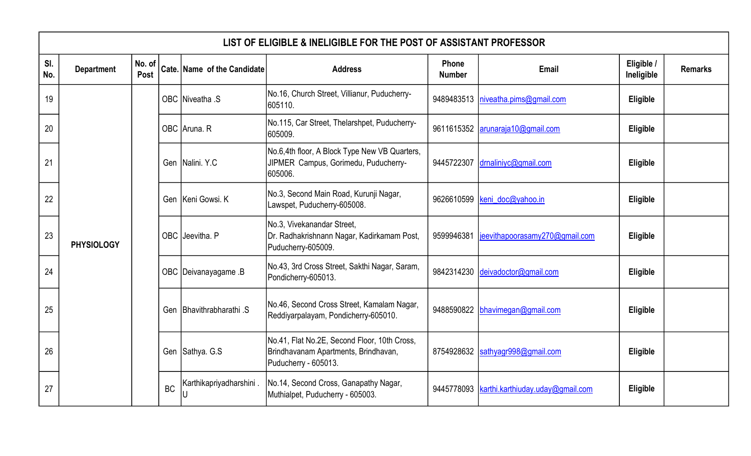|            | LIST OF ELIGIBLE & INELIGIBLE FOR THE POST OF ASSISTANT PROFESSOR |                |           |                             |                                                                                                              |                        |                                      |                          |                      |                                                                      |  |                                  |          |  |  |  |
|------------|-------------------------------------------------------------------|----------------|-----------|-----------------------------|--------------------------------------------------------------------------------------------------------------|------------------------|--------------------------------------|--------------------------|----------------------|----------------------------------------------------------------------|--|----------------------------------|----------|--|--|--|
| SI.<br>No. | <b>Department</b>                                                 | No. of<br>Post |           | Cate. Name of the Candidate | <b>Address</b>                                                                                               | Phone<br><b>Number</b> | Email                                | Eligible /<br>Ineligible | <b>Remarks</b>       |                                                                      |  |                                  |          |  |  |  |
| 19         |                                                                   |                |           | OBC Niveatha .S             | No.16, Church Street, Villianur, Puducherry-<br>605110.                                                      |                        | 9489483513   niveatha.pims@gmail.com | Eligible                 |                      |                                                                      |  |                                  |          |  |  |  |
| 20         |                                                                   |                |           | OBC Aruna. R                | No.115, Car Street, Thelarshpet, Puducherry-<br>605009.                                                      |                        | 9611615352 arunaraja10@gmail.com     | Eligible                 |                      |                                                                      |  |                                  |          |  |  |  |
| 21         |                                                                   |                |           | Gen Nalini, Y.C.            | No.6,4th floor, A Block Type New VB Quarters,<br>JIPMER Campus, Gorimedu, Puducherry-<br>605006.             | 9445722307             | drnalinivc@gmail.com                 | Eligible                 |                      |                                                                      |  |                                  |          |  |  |  |
| 22         |                                                                   |                |           | Gen Keni Gowsi, K           | No.3, Second Main Road, Kurunji Nagar,<br>Lawspet, Puducherry-605008.                                        |                        | 9626610599 keni doc@yahoo.in         | Eligible                 |                      |                                                                      |  |                                  |          |  |  |  |
| 23         | <b>PHYSIOLOGY</b>                                                 |                |           | OBC Jeevitha. P             | No.3, Vivekanandar Street,<br>Dr. Radhakrishnann Nagar, Kadirkamam Post,<br>Puducherry-605009.               | 9599946381             | jeevithapoorasamy270@gmail.com       | Eligible                 |                      |                                                                      |  |                                  |          |  |  |  |
| 24         |                                                                   |                |           |                             |                                                                                                              |                        |                                      |                          | OBC Deivanayagame .B | No.43, 3rd Cross Street, Sakthi Nagar, Saram,<br>Pondicherry-605013. |  | 9842314230 deivadoctor@gmail.com | Eligible |  |  |  |
| 25         |                                                                   |                |           |                             |                                                                                                              |                        |                                      |                          |                      |                                                                      |  |                                  |          |  |  |  |
| 26         |                                                                   |                |           | Gen Sathya. G.S             | No.41, Flat No.2E, Second Floor, 10th Cross,<br>Brindhavanam Apartments, Brindhavan,<br>Puducherry - 605013. | 8754928632             | sathyagr998@gmail.com                | Eligible                 |                      |                                                                      |  |                                  |          |  |  |  |
| 27         |                                                                   |                | <b>BC</b> | Karthikapriyadharshini.     | No.14, Second Cross, Ganapathy Nagar,<br>Muthialpet, Puducherry - 605003.                                    | 9445778093             | karthi.karthiuday.uday@gmail.com     | Eligible                 |                      |                                                                      |  |                                  |          |  |  |  |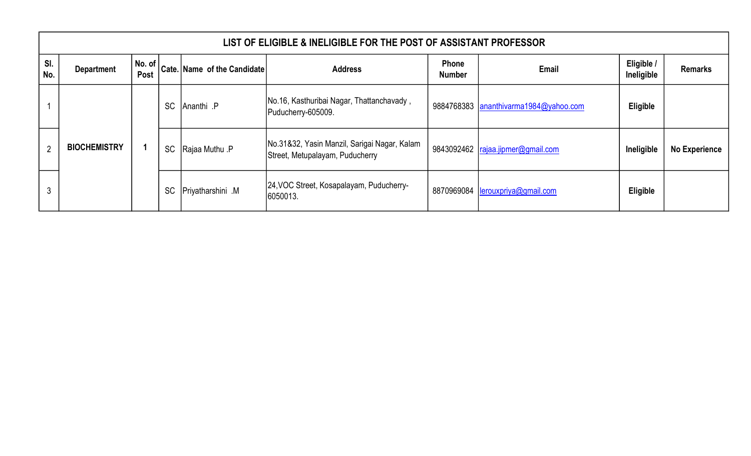|                | LIST OF ELIGIBLE & INELIGIBLE FOR THE POST OF ASSISTANT PROFESSOR |                                |           |                                    |                                                                                 |                               |                                       |                          |                      |  |  |  |  |
|----------------|-------------------------------------------------------------------|--------------------------------|-----------|------------------------------------|---------------------------------------------------------------------------------|-------------------------------|---------------------------------------|--------------------------|----------------------|--|--|--|--|
| SI.<br>No.     | <b>Department</b>                                                 | $\vert$ No. of $\vert$<br>Post |           | <b>Cate. Name of the Candidate</b> | <b>Address</b>                                                                  | <b>Phone</b><br><b>Number</b> | <b>Email</b>                          | Eligible /<br>Ineligible | <b>Remarks</b>       |  |  |  |  |
|                |                                                                   |                                | <b>SC</b> | Ananthi .P                         | No.16, Kasthuribai Nagar, Thattanchavady,<br>Puducherry-605009.                 |                               | 9884768383 ananthivarma1984@yahoo.com | <b>Eligible</b>          |                      |  |  |  |  |
| $\overline{2}$ | <b>BIOCHEMISTRY</b>                                               |                                | <b>SC</b> | Rajaa Muthu .P                     | No.31&32, Yasin Manzil, Sarigai Nagar, Kalam<br>Street, Metupalayam, Puducherry |                               | 9843092462   rajaa.jipmer@gmail.com   | Ineligible               | <b>No Experience</b> |  |  |  |  |
| 3              |                                                                   |                                | <b>SC</b> | <b>Priyatharshini</b> M            | 24, VOC Street, Kosapalayam, Puducherry-<br>6050013.                            |                               | 8870969084   lerouxpriya@gmail.com    | <b>Eligible</b>          |                      |  |  |  |  |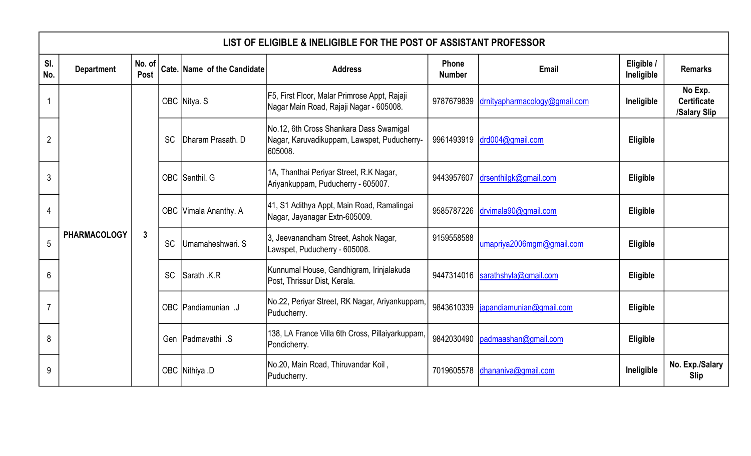|                | LIST OF ELIGIBLE & INELIGIBLE FOR THE POST OF ASSISTANT PROFESSOR |              |           |                                                                                                                                                                   |                                                                                                   |                               |                               |                          |                                               |  |  |  |
|----------------|-------------------------------------------------------------------|--------------|-----------|-------------------------------------------------------------------------------------------------------------------------------------------------------------------|---------------------------------------------------------------------------------------------------|-------------------------------|-------------------------------|--------------------------|-----------------------------------------------|--|--|--|
| SI.<br>No.     | <b>Department</b>                                                 |              |           | $\begin{array}{c c} \mathsf{No. of} & \mathsf{Cate.} & \mathsf{Name} & \mathsf{of} & \mathsf{the}\ \mathsf{C} & \mathsf{c} & \mathsf{c} & \mathsf{c} \end{array}$ | <b>Address</b>                                                                                    | <b>Phone</b><br><b>Number</b> | Email                         | Eligible /<br>Ineligible | <b>Remarks</b>                                |  |  |  |
|                |                                                                   |              |           | OBC Nitya. S                                                                                                                                                      | F5, First Floor, Malar Primrose Appt, Rajaji<br>Nagar Main Road, Rajaji Nagar - 605008.           | 9787679839                    | drnityapharmacology@gmail.com | Ineligible               | No Exp.<br><b>Certificate</b><br>/Salary Slip |  |  |  |
| $\overline{2}$ |                                                                   |              | <b>SC</b> | Dharam Prasath. D                                                                                                                                                 | No.12, 6th Cross Shankara Dass Swamigal<br>Nagar, Karuvadikuppam, Lawspet, Puducherry-<br>605008. |                               | 9961493919 drd004@gmail.com   | Eligible                 |                                               |  |  |  |
| 3              |                                                                   |              |           | OBC Senthil. G                                                                                                                                                    | 1A, Thanthai Periyar Street, R.K Nagar,<br>Ariyankuppam, Puducherry - 605007.                     | 9443957607                    | drsenthilgk@gmail.com         | Eligible                 |                                               |  |  |  |
| 4              |                                                                   |              |           | OBC Vimala Ananthy. A                                                                                                                                             | 41, S1 Adithya Appt, Main Road, Ramalingai<br>Nagar, Jayanagar Extn-605009.                       | 9585787226                    | drvimala90@gmail.com          | Eligible                 |                                               |  |  |  |
| 5              | <b>PHARMACOLOGY</b>                                               | $\mathbf{3}$ | <b>SC</b> | Umamaheshwari, S                                                                                                                                                  | 3, Jeevanandham Street, Ashok Nagar,<br>Lawspet, Puducherry - 605008.                             | 9159558588                    | umapriya2006mgm@gmail.com     | Eligible                 |                                               |  |  |  |
| 6              |                                                                   |              | <b>SC</b> | Sarath .K.R                                                                                                                                                       | Kunnumal House, Gandhigram, Irinjalakuda<br>Post, Thrissur Dist, Kerala.                          | 9447314016                    | sarathshyla@gmail.com         | Eligible                 |                                               |  |  |  |
| $\overline{7}$ |                                                                   |              |           | OBC Pandiamunian.J                                                                                                                                                | No.22, Periyar Street, RK Nagar, Ariyankuppam,<br>Puducherry.                                     | 9843610339                    | iapandiamunian@gmail.com      | Eligible                 |                                               |  |  |  |
| 8              |                                                                   |              |           | Gen Padmavathi .S                                                                                                                                                 | 138, LA France Villa 6th Cross, Pillaiyarkuppam,<br>Pondicherry.                                  | 9842030490                    | padmaashan@gmail.com          | Eligible                 |                                               |  |  |  |
| 9              |                                                                   |              |           | OBC Nithiya D                                                                                                                                                     | No.20, Main Road, Thiruvandar Koil,<br>Puducherry.                                                | 7019605578                    | dhananiva@gmail.com           | Ineligible               | No. Exp./Salary<br><b>Slip</b>                |  |  |  |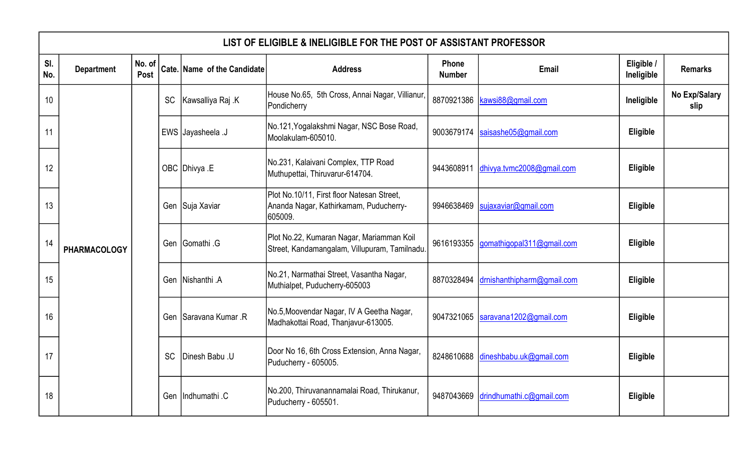|            | LIST OF ELIGIBLE & INELIGIBLE FOR THE POST OF ASSISTANT PROFESSOR |                |           |                             |                                                                                                 |                        |                                     |                          |                       |  |                       |                                                                                  |            |                        |          |
|------------|-------------------------------------------------------------------|----------------|-----------|-----------------------------|-------------------------------------------------------------------------------------------------|------------------------|-------------------------------------|--------------------------|-----------------------|--|-----------------------|----------------------------------------------------------------------------------|------------|------------------------|----------|
| SI.<br>No. | <b>Department</b>                                                 | No. of<br>Post |           | Cate. Name of the Candidate | <b>Address</b>                                                                                  | Phone<br><b>Number</b> | Email                               | Eligible /<br>Ineligible | <b>Remarks</b>        |  |                       |                                                                                  |            |                        |          |
| 10         |                                                                   |                | <b>SC</b> | Kawsalliya Raj .K           | House No.65, 5th Cross, Annai Nagar, Villianur,<br>Pondicherry                                  | 8870921386             | kawsi88@gmail.com                   | Ineligible               | No Exp/Salary<br>slip |  |                       |                                                                                  |            |                        |          |
| 11         |                                                                   |                |           | L. EWS Jayasheela J         | No.121, Yogalakshmi Nagar, NSC Bose Road,<br>Moolakulam-605010.                                 | 9003679174             | saisashe05@gmail.com                | Eligible                 |                       |  |                       |                                                                                  |            |                        |          |
| 12         |                                                                   |                |           | OBC Dhivya E                | No.231, Kalaivani Complex, TTP Road<br>Muthupettai, Thiruvarur-614704.                          | 9443608911             | dhivya.tvmc2008@gmail.com           | Eligible                 |                       |  |                       |                                                                                  |            |                        |          |
| 13         |                                                                   |                |           | Gen Suja Xaviar             | Plot No.10/11, First floor Natesan Street,<br>Ananda Nagar, Kathirkamam, Puducherry-<br>605009. | 9946638469             | sujaxaviar@gmail.com                | Eligible                 |                       |  |                       |                                                                                  |            |                        |          |
| 14         | <b>PHARMACOLOGY</b>                                               |                |           | Gen Gomathi G               | Plot No.22, Kumaran Nagar, Mariamman Koil<br>Street, Kandamangalam, Villupuram, Tamilnadu.      | 9616193355             | gomathigopal311@gmail.com           | Eligible                 |                       |  |                       |                                                                                  |            |                        |          |
| 15         |                                                                   |                |           | Gen Nishanthi .A            | No.21, Narmathai Street, Vasantha Nagar,<br>Muthialpet, Puducherry-605003                       | 8870328494             | drnishanthipharm@gmail.com          | Eligible                 |                       |  |                       |                                                                                  |            |                        |          |
| 16         |                                                                   |                |           |                             |                                                                                                 |                        |                                     |                          |                       |  | Gen Saravana Kumar, R | No.5, Moovendar Nagar, IV A Geetha Nagar,<br>Madhakottai Road, Thanjavur-613005. | 9047321065 | saravana1202@gmail.com | Eligible |
| 17         |                                                                   |                | <b>SC</b> | Dinesh Babu .U              | Door No 16, 6th Cross Extension, Anna Nagar,<br>Puducherry - 605005.                            |                        | 8248610688 dineshbabu.uk@gmail.com  | Eligible                 |                       |  |                       |                                                                                  |            |                        |          |
| 18         |                                                                   |                |           | Gen Indhumathi C            | No.200, Thiruvanannamalai Road, Thirukanur,<br>Puducherry - 605501.                             |                        | 9487043669 drindhumathi.c@gmail.com | Eligible                 |                       |  |                       |                                                                                  |            |                        |          |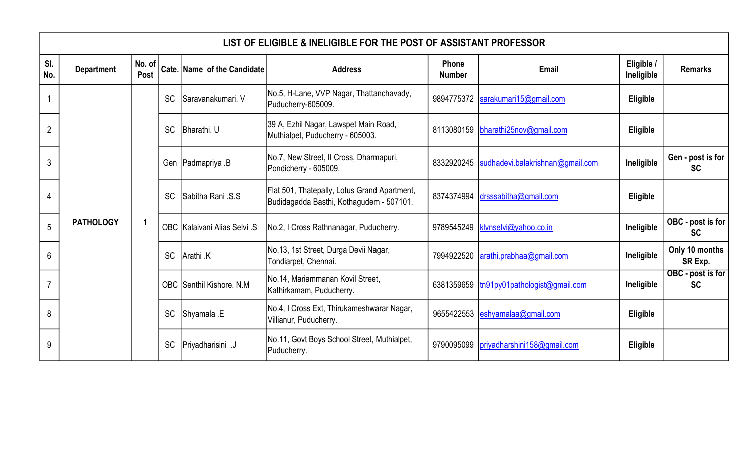|                | LIST OF ELIGIBLE & INELIGIBLE FOR THE POST OF ASSISTANT PROFESSOR |                |           |                              |                                                                                          |                        |                                  |                          |                                |  |  |  |
|----------------|-------------------------------------------------------------------|----------------|-----------|------------------------------|------------------------------------------------------------------------------------------|------------------------|----------------------------------|--------------------------|--------------------------------|--|--|--|
| SI.<br>No.     | <b>Department</b>                                                 | No. of<br>Post |           | Cate. Name of the Candidate  | <b>Address</b>                                                                           | Phone<br><b>Number</b> | <b>Email</b>                     | Eligible /<br>Ineligible | <b>Remarks</b>                 |  |  |  |
|                |                                                                   |                | <b>SC</b> | Saravanakumari. V            | No.5, H-Lane, VVP Nagar, Thattanchavady,<br>Puducherry-605009.                           | 9894775372             | sarakumari15@gmail.com           | Eligible                 |                                |  |  |  |
| $\overline{2}$ |                                                                   |                | <b>SC</b> | Bharathi. U                  | 39 A, Ezhil Nagar, Lawspet Main Road,<br>Muthialpet, Puducherry - 605003.                | 8113080159             | bharathi25nov@gmail.com          | Eligible                 |                                |  |  |  |
| 3              |                                                                   |                |           | Gen   Padmapriya . B         | No.7, New Street, II Cross, Dharmapuri,<br>Pondicherry - 605009.                         | 8332920245             | sudhadevi.balakrishnan@gmail.com | Ineligible               | Gen - post is for<br><b>SC</b> |  |  |  |
| 4              |                                                                   |                | <b>SC</b> | S.S. ISabitha Rani           | Flat 501, Thatepally, Lotus Grand Apartment,<br>Budidagadda Basthi, Kothagudem - 507101. |                        | 8374374994 drsssabitha@gmail.com | Eligible                 |                                |  |  |  |
| 5              | <b>PATHOLOGY</b>                                                  |                |           | OBC Kalaivani Alias Selvi .S | No.2, I Cross Rathnanagar, Puducherry.                                                   | 9789545249             | klynselvi@yahoo.co.in            | Ineligible               | OBC - post is for<br><b>SC</b> |  |  |  |
| 6              |                                                                   |                | <b>SC</b> | Arathi .K                    | No.13, 1st Street, Durga Devii Nagar,<br>Tondiarpet, Chennai.                            | 7994922520             | arathi.prabhaa@gmail.com         | Ineligible               | Only 10 months<br>SR Exp.      |  |  |  |
| $\overline{7}$ |                                                                   |                |           | OBC Senthil Kishore, N.M.    | No.14, Mariammanan Kovil Street,<br>Kathirkamam, Puducherry.                             | 6381359659             | tn91py01pathologist@gmail.com    | Ineligible               | OBC - post is for<br><b>SC</b> |  |  |  |
| 8              |                                                                   |                | <b>SC</b> | Shyamala .E                  | No.4, I Cross Ext, Thirukameshwarar Nagar,<br>Villianur, Puducherry.                     | 9655422553             | eshyamalaa@gmail.com             | Eligible                 |                                |  |  |  |
| 9              |                                                                   |                | <b>SC</b> | Priyadharisini .J            | No.11, Govt Boys School Street, Muthialpet,<br>Puducherry.                               | 9790095099             | priyadharshini158@gmail.com      | Eligible                 |                                |  |  |  |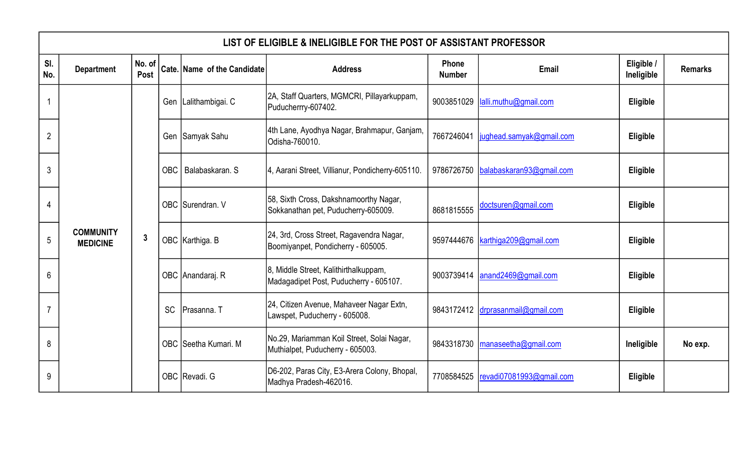|                | LIST OF ELIGIBLE & INELIGIBLE FOR THE POST OF ASSISTANT PROFESSOR |                |           |                             |                                                                                 |                        |                          |                          |                |  |  |  |
|----------------|-------------------------------------------------------------------|----------------|-----------|-----------------------------|---------------------------------------------------------------------------------|------------------------|--------------------------|--------------------------|----------------|--|--|--|
| SI.<br>No.     | <b>Department</b>                                                 | No. of<br>Post |           | Cate. Name of the Candidate | <b>Address</b>                                                                  | Phone<br><b>Number</b> | Email                    | Eligible /<br>Ineligible | <b>Remarks</b> |  |  |  |
|                |                                                                   |                |           | Gen   Lalithambigai. C      | 2A, Staff Quarters, MGMCRI, Pillayarkuppam,<br>Puducherrry-607402.              | 9003851029             | lalli.muthu@gmail.com    | Eligible                 |                |  |  |  |
| $\overline{2}$ |                                                                   |                |           | Gen Samyak Sahu             | 4th Lane, Ayodhya Nagar, Brahmapur, Ganjam,<br>Odisha-760010.                   | 7667246041             | jughead.samyak@gmail.com | Eligible                 |                |  |  |  |
| 3              |                                                                   |                | OBC I     | l Balabaskaran. S           | 4, Aarani Street, Villianur, Pondicherry-605110.                                | 9786726750             | balabaskaran93@gmail.com | Eligible                 |                |  |  |  |
| 4              |                                                                   |                |           | OBC Surendran. V            | 58, Sixth Cross, Dakshnamoorthy Nagar,<br>Sokkanathan pet, Puducherry-605009.   | 8681815555             | doctsuren@gmail.com      | Eligible                 |                |  |  |  |
| 5              | <b>COMMUNITY</b><br><b>MEDICINE</b>                               | $\mathbf{3}$   |           | OBC Karthiga. B             | 24, 3rd, Cross Street, Ragavendra Nagar,<br>Boomiyanpet, Pondicherry - 605005.  | 9597444676             | karthiga209@gmail.com    | Eligible                 |                |  |  |  |
| 6              |                                                                   |                |           | OBC Anandaraj. R            | 8, Middle Street, Kalithirthalkuppam,<br>Madagadipet Post, Puducherry - 605107. | 9003739414             | anand2469@gmail.com      | Eligible                 |                |  |  |  |
|                |                                                                   |                | <b>SC</b> | Prasanna. T                 | 24, Citizen Avenue, Mahaveer Nagar Extn,<br>Lawspet, Puducherry - 605008.       | 9843172412             | drprasanmail@gmail.com   | <b>Eligible</b>          |                |  |  |  |
| 8              |                                                                   |                |           | OBC Seetha Kumari. M        | No.29, Mariamman Koil Street, Solai Nagar,<br>Muthialpet, Puducherry - 605003.  | 9843318730             | manaseetha@gmail.com     | Ineligible               | No exp.        |  |  |  |
| 9              |                                                                   |                |           | OBC Revadi. G               | D6-202, Paras City, E3-Arera Colony, Bhopal,<br>Madhya Pradesh-462016.          | 7708584525             | revadi07081993@gmail.com | Eligible                 |                |  |  |  |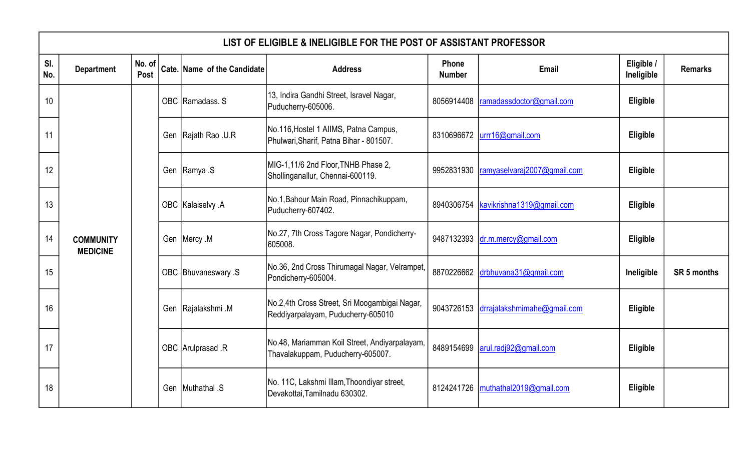|            | LIST OF ELIGIBLE & INELIGIBLE FOR THE POST OF ASSISTANT PROFESSOR |                |  |                             |                                                                                     |                        |                                        |                          |                |  |  |
|------------|-------------------------------------------------------------------|----------------|--|-----------------------------|-------------------------------------------------------------------------------------|------------------------|----------------------------------------|--------------------------|----------------|--|--|
| SI.<br>No. | <b>Department</b>                                                 | No. of<br>Post |  | Cate. Name of the Candidate | <b>Address</b>                                                                      | Phone<br><b>Number</b> | Email                                  | Eligible /<br>Ineligible | <b>Remarks</b> |  |  |
| 10         |                                                                   |                |  | OBC Ramadass. S             | 13, Indira Gandhi Street, Isravel Nagar,<br>Puducherry-605006.                      | 8056914408             | ramadassdoctor@gmail.com               | Eligible                 |                |  |  |
| 11         |                                                                   |                |  | Gen Rajath Rao .U.R         | No.116, Hostel 1 AIIMS, Patna Campus,<br>Phulwari, Sharif, Patna Bihar - 801507.    | 8310696672             | urrr16@gmail.com                       | Eligible                 |                |  |  |
| 12         |                                                                   |                |  | Gen Ramya .S                | MIG-1,11/6 2nd Floor, TNHB Phase 2,<br>Shollinganallur, Chennai-600119.             | 9952831930             | ramyaselvaraj2007@gmail.com            | Eligible                 |                |  |  |
| 13         |                                                                   |                |  | OBC Kalaiselvy A            | No.1, Bahour Main Road, Pinnachikuppam,<br>Puducherry-607402.                       | 8940306754             | kavikrishna1319@gmail.com              | Eligible                 |                |  |  |
| 14         | <b>COMMUNITY</b><br><b>MEDICINE</b>                               |                |  | Gen   Mercy .M              | No.27, 7th Cross Tagore Nagar, Pondicherry-<br>605008.                              | 9487132393             | dr.m.mercy@gmail.com                   | Eligible                 |                |  |  |
| 15         |                                                                   |                |  | OBC Bhuvaneswary .S         | No.36, 2nd Cross Thirumagal Nagar, Velrampet,<br>Pondicherry-605004.                | 8870226662             | drbhuvana31@gmail.com                  | Ineligible               | SR 5 months    |  |  |
| 16         |                                                                   |                |  | Gen Rajalakshmi M           | No.2,4th Cross Street, Sri Moogambigai Nagar,<br>Reddiyarpalayam, Puducherry-605010 |                        | 9043726153 drrajalakshmimahe@gmail.com | Eligible                 |                |  |  |
| 17         |                                                                   |                |  | OBC Arulprasad .R           | No.48, Mariamman Koil Street, Andiyarpalayam,<br>Thavalakuppam, Puducherry-605007.  | 8489154699             | arul.radj92@gmail.com                  | Eligible                 |                |  |  |
| 18         |                                                                   |                |  | Gen Muthathal .S            | No. 11C, Lakshmi Illam, Thoondiyar street,<br>Devakottai, Tamilnadu 630302.         | 8124241726             | muthathal2019@gmail.com                | Eligible                 |                |  |  |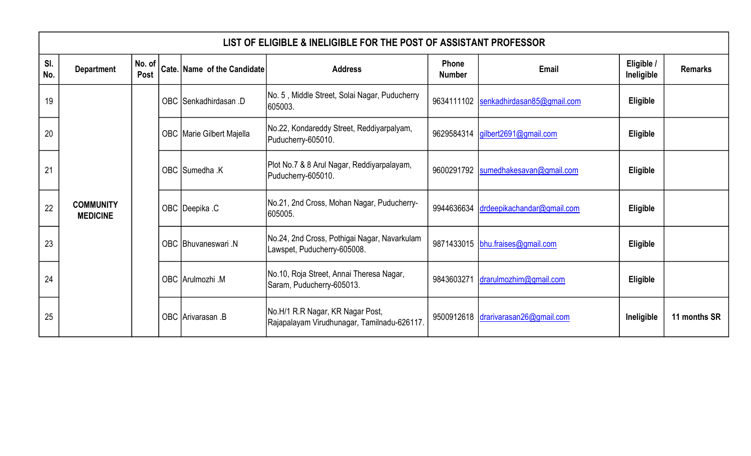|            | LIST OF ELIGIBLE & INELIGIBLE FOR THE POST OF ASSISTANT PROFESSOR |  |  |                                                                                                       |                                                                                 |                        |                                        |                          |                |  |  |  |
|------------|-------------------------------------------------------------------|--|--|-------------------------------------------------------------------------------------------------------|---------------------------------------------------------------------------------|------------------------|----------------------------------------|--------------------------|----------------|--|--|--|
| SI.<br>No. | <b>Department</b>                                                 |  |  | $\begin{array}{c c}  \mathbf{No. of}  \ \hline \mathbf{Co} & \end{array}$ Cate. Name of the Candidate | <b>Address</b>                                                                  | Phone<br><b>Number</b> | Email                                  | Eligible /<br>Ineligible | <b>Remarks</b> |  |  |  |
| 19         |                                                                   |  |  | OBC Senkadhirdasan .D                                                                                 | No. 5, Middle Street, Solai Nagar, Puducherry<br>605003.                        |                        | 9634111102  senkadhirdasan85@gmail.com | Eligible                 |                |  |  |  |
| 20         |                                                                   |  |  | OBC Marie Gilbert Majella                                                                             | No.22, Kondareddy Street, Reddiyarpalyam,<br>Puducherry-605010.                 |                        | 9629584314   gilbert2691@gmail.com     | Eligible                 |                |  |  |  |
| 21         |                                                                   |  |  | OBC Sumedha .K                                                                                        | Plot No.7 & 8 Arul Nagar, Reddiyarpalayam,<br>Puducherry-605010.                |                        | 9600291792  sumedhakesavan@gmail.com   | Eligible                 |                |  |  |  |
| 22         | <b>COMMUNITY</b><br><b>MEDICINE</b>                               |  |  | OBC Deepika .C                                                                                        | No.21, 2nd Cross, Mohan Nagar, Puducherry-<br>605005.                           |                        | 9944636634 drdeepikachandar@gmail.com  | Eligible                 |                |  |  |  |
| 23         |                                                                   |  |  | OBC Bhuvaneswari .N                                                                                   | No.24, 2nd Cross, Pothigai Nagar, Navarkulam<br>Lawspet, Puducherry-605008.     |                        | 9871433015 bhu.fraises@gmail.com       | Eligible                 |                |  |  |  |
| 24         |                                                                   |  |  | OBC Arulmozhi .M                                                                                      | No.10, Roja Street, Annai Theresa Nagar,<br>Saram, Puducherry-605013.           | 9843603271             | drarulmozhim@gmail.com                 | Eligible                 |                |  |  |  |
| 25         |                                                                   |  |  | OBC Arivarasan B                                                                                      | No.H/1 R.R Nagar, KR Nagar Post,<br>Rajapalayam Virudhunagar, Tamilnadu-626117. |                        | 9500912618 drarivarasan26@gmail.com    | Ineligible               | 11 months SR   |  |  |  |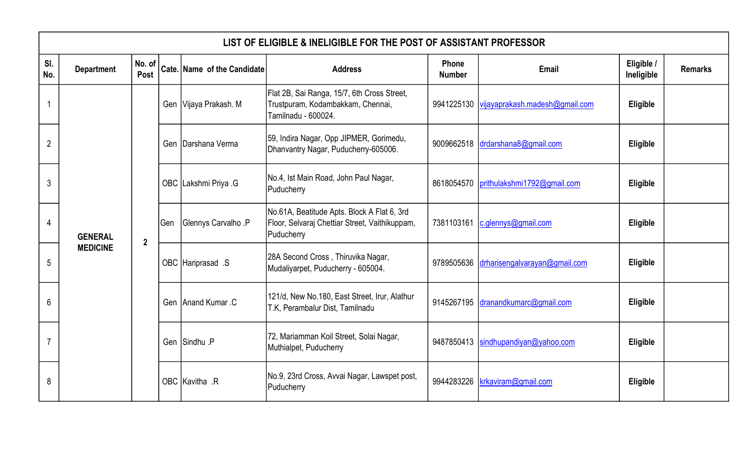|                | LIST OF ELIGIBLE & INELIGIBLE FOR THE POST OF ASSISTANT PROFESSOR |                |     |                             |                                                                                                             |                        |                                             |                          |                |  |  |  |
|----------------|-------------------------------------------------------------------|----------------|-----|-----------------------------|-------------------------------------------------------------------------------------------------------------|------------------------|---------------------------------------------|--------------------------|----------------|--|--|--|
| SI.<br>No.     | <b>Department</b>                                                 | No. of<br>Post |     | Cate. Name of the Candidate | <b>Address</b>                                                                                              | Phone<br><b>Number</b> | Email                                       | Eligible /<br>Ineligible | <b>Remarks</b> |  |  |  |
|                |                                                                   |                |     | Gen Vijaya Prakash. M       | Flat 2B, Sai Ranga, 15/7, 6th Cross Street,<br>Trustpuram, Kodambakkam, Chennai,<br>Tamilnadu - 600024.     |                        | 9941225130   vijayaprakash.madesh@gmail.com | Eligible                 |                |  |  |  |
| $\overline{2}$ |                                                                   |                |     | Gen Darshana Verma          | 59, Indira Nagar, Opp JIPMER, Gorimedu,<br>Dhanvantry Nagar, Puducherry-605006.                             |                        | 9009662518 drdarshana8@gmail.com            | Eligible                 |                |  |  |  |
| 3              |                                                                   |                |     | OBC Lakshmi Priya .G        | No.4, Ist Main Road, John Paul Nagar,<br>Puducherry                                                         |                        | 8618054570 prithulakshmi1792@gmail.com      | Eligible                 |                |  |  |  |
| 4              | <b>GENERAL</b>                                                    | $\overline{2}$ | Gen | Glennys Carvalho .P         | No.61A, Beatitude Apts. Block A Flat 6, 3rd<br>Floor, Selvaraj Chettiar Street, Vaithikuppam,<br>Puducherry | 7381103161             | $c$ .glennys@gmail.com                      | Eligible                 |                |  |  |  |
| 5              | <b>MEDICINE</b>                                                   |                |     | OBC Hariprasad .S           | 28A Second Cross, Thiruvika Nagar,<br>Mudaliyarpet, Puducherry - 605004.                                    |                        | 9789505636 drharisengalvarayan@gmail.com    | Eligible                 |                |  |  |  |
| 6              |                                                                   |                |     | Gen Anand Kumar .C          | 121/d, New No.180, East Street, Irur, Alathur<br>T.K, Perambalur Dist, Tamilnadu                            |                        | 9145267195 dranandkumarc@gmail.com          | Eligible                 |                |  |  |  |
|                |                                                                   |                |     | Gen Sindhu P                | 72, Mariamman Koil Street, Solai Nagar,<br>Muthialpet, Puducherry                                           |                        | 9487850413 sindhupandiyan@yahoo.com         | Eligible                 |                |  |  |  |
| 8              |                                                                   |                |     | OBC Kavitha .R              | No.9, 23rd Cross, Avvai Nagar, Lawspet post,<br>Puducherry                                                  |                        | 9944283226 krkaviram@gmail.com              | Eligible                 |                |  |  |  |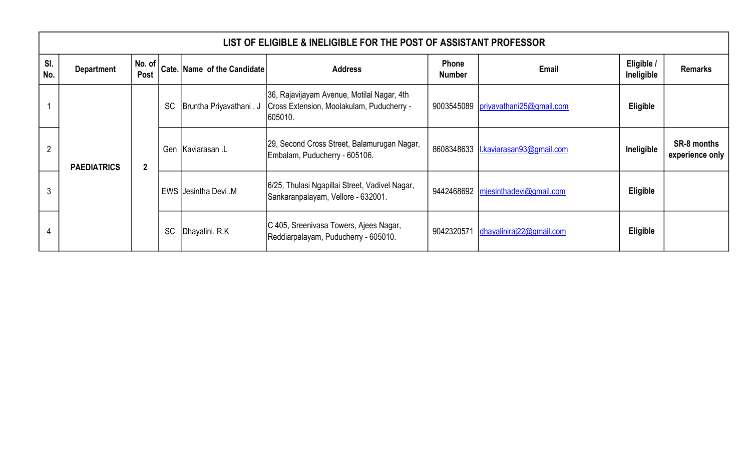|                | LIST OF ELIGIBLE & INELIGIBLE FOR THE POST OF ASSISTANT PROFESSOR |                    |           |                             |                                                                                                    |                               |                                       |                          |                                       |  |  |  |  |  |
|----------------|-------------------------------------------------------------------|--------------------|-----------|-----------------------------|----------------------------------------------------------------------------------------------------|-------------------------------|---------------------------------------|--------------------------|---------------------------------------|--|--|--|--|--|
| SI.<br>No.     | <b>Department</b>                                                 | No. of $ $<br>Post |           | Cate. Name of the Candidate | <b>Address</b>                                                                                     | <b>Phone</b><br><b>Number</b> | Email                                 | Eligible /<br>Ineligible | <b>Remarks</b>                        |  |  |  |  |  |
|                |                                                                   |                    | <b>SC</b> | Bruntha Priyavathani. J     | 36, Rajavijayam Avenue, Motilal Nagar, 4th<br>Cross Extension, Moolakulam, Puducherry -<br>605010. |                               | 9003545089 priyavathani25@gmail.com   | Eligible                 |                                       |  |  |  |  |  |
| $\overline{2}$ | <b>PAEDIATRICS</b>                                                | $\overline{2}$     | Gen       | Kaviarasan .L               | [29, Second Cross Street, Balamurugan Nagar,<br>Embalam, Puducherry - 605106.                      |                               | 8608348633   I.kaviarasan93@gmail.com | Ineligible               | <b>SR-8 months</b><br>experience only |  |  |  |  |  |
|                |                                                                   |                    |           | EWS Jesintha Devi .M        | 6/25, Thulasi Ngapillai Street, Vadivel Nagar,<br>Sankaranpalayam, Vellore - 632001.               |                               | 9442468692 mjesinthadevi@gmail.com    | Eligible                 |                                       |  |  |  |  |  |
| 4              |                                                                   |                    | <b>SC</b> | Dhayalini. R.K              | C 405, Sreenivasa Towers, Ajees Nagar,<br>Reddiarpalayam, Puducherry - 605010.                     | 9042320571                    | dhayaliniraj $22$ @gmail.com          | Eligible                 |                                       |  |  |  |  |  |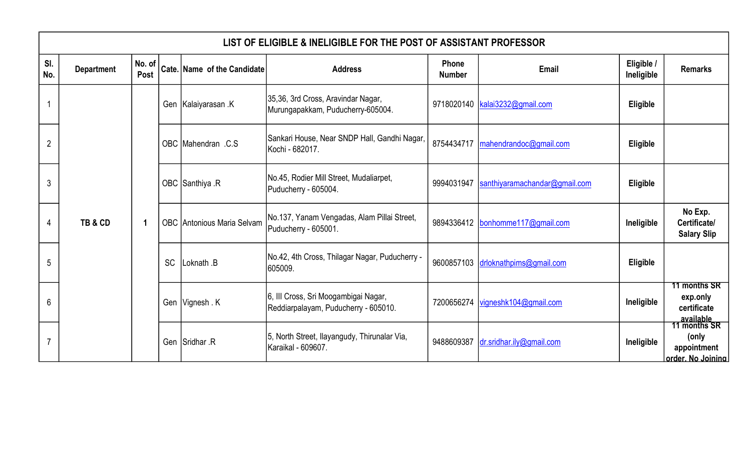|                | LIST OF ELIGIBLE & INELIGIBLE FOR THE POST OF ASSISTANT PROFESSOR |                |           |                                   |                                                                              |                               |                                      |                          |                                                                        |  |  |  |  |
|----------------|-------------------------------------------------------------------|----------------|-----------|-----------------------------------|------------------------------------------------------------------------------|-------------------------------|--------------------------------------|--------------------------|------------------------------------------------------------------------|--|--|--|--|
| SI.<br>No.     | <b>Department</b>                                                 | No. of<br>Post |           | Cate. Name of the Candidate       | <b>Address</b>                                                               | <b>Phone</b><br><b>Number</b> | <b>Email</b>                         | Eligible /<br>Ineligible | <b>Remarks</b>                                                         |  |  |  |  |
|                |                                                                   |                |           | Gen Kalaiyarasan K                | 35,36, 3rd Cross, Aravindar Nagar,<br>Murungapakkam, Puducherry-605004.      |                               | $9718020140$ kalai $3232@$ gmail.com | Eligible                 |                                                                        |  |  |  |  |
| $\overline{2}$ |                                                                   |                |           | OBC Mahendran .C.S                | Sankari House, Near SNDP Hall, Gandhi Nagar,<br>Kochi - 682017.              |                               | 8754434717   mahendrandoc@gmail.com  | Eligible                 |                                                                        |  |  |  |  |
| 3              |                                                                   |                |           | OBC Santhiya .R                   | No.45, Rodier Mill Street, Mudaliarpet,<br>Puducherry - 605004.              | 9994031947                    | santhiyaramachandar@gmail.com        | Eligible                 |                                                                        |  |  |  |  |
| 4              | TB&CD                                                             | -1             |           | <b>OBC</b> Antonious Maria Selvam | No.137, Yanam Vengadas, Alam Pillai Street,<br>Puducherry - 605001.          |                               | 9894336412 bonhomme117@gmail.com     | Ineligible               | No Exp.<br>Certificate/<br><b>Salary Slip</b>                          |  |  |  |  |
| 5              |                                                                   |                | <b>SC</b> | Loknath .B                        | No.42, 4th Cross, Thilagar Nagar, Puducherry -<br>605009.                    |                               | 9600857103 drloknathpims@gmail.com   | Eligible                 |                                                                        |  |  |  |  |
| 6              |                                                                   |                |           | Gen Vignesh . K                   | 6, III Cross, Sri Moogambigai Nagar,<br>Reddiarpalayam, Puducherry - 605010. | 7200656274                    | vigneshk104@gmail.com                | Ineligible               | 11 months SR<br>exp.only<br>certificate                                |  |  |  |  |
| $\overline{7}$ |                                                                   |                |           | Gen Sridhar .R                    | 5, North Street, Ilayangudy, Thirunalar Via,<br>Karaikal - 609607.           | 9488609387                    | dr.sridhar.ily@gmail.com             | Ineligible               | available<br>11 months SR<br>(only<br>appointment<br>order. No Joinina |  |  |  |  |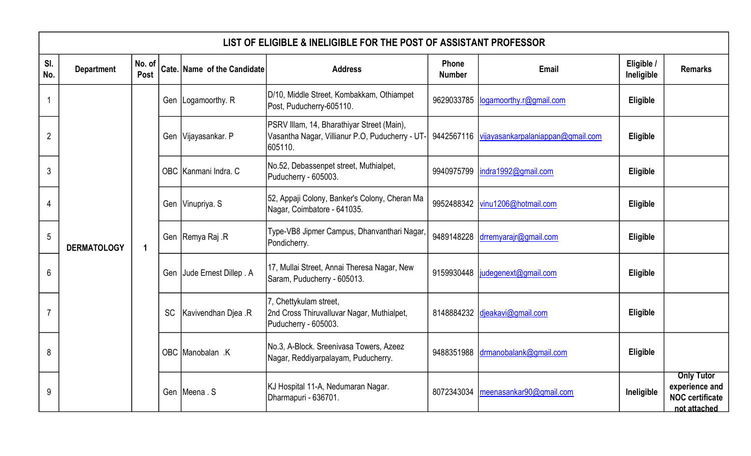|                 | LIST OF ELIGIBLE & INELIGIBLE FOR THE POST OF ASSISTANT PROFESSOR |                      |  |                             |                                                                                                          |                        |                                              |                          |                                                                               |  |  |  |
|-----------------|-------------------------------------------------------------------|----------------------|--|-----------------------------|----------------------------------------------------------------------------------------------------------|------------------------|----------------------------------------------|--------------------------|-------------------------------------------------------------------------------|--|--|--|
| SI.<br>No.      | <b>Department</b>                                                 | No. of<br>Post       |  | Cate. Name of the Candidate | <b>Address</b>                                                                                           | Phone<br><b>Number</b> | <b>Email</b>                                 | Eligible /<br>Ineligible | <b>Remarks</b>                                                                |  |  |  |
|                 |                                                                   |                      |  | Gen   Logamoorthy. R        | D/10, Middle Street, Kombakkam, Othiampet<br>Post, Puducherry-605110.                                    | 9629033785             | logamoorthy.r@gmail.com                      | Eligible                 |                                                                               |  |  |  |
| $\overline{2}$  |                                                                   |                      |  | Gen Vijayasankar. P         | PSRV Illam, 14, Bharathiyar Street (Main),<br>Vasantha Nagar, Villianur P.O, Puducherry - UT-<br>605110. |                        | 9442567116 vijayasankarpalaniappan@gmail.com | Eligible                 |                                                                               |  |  |  |
| $\mathfrak{Z}$  |                                                                   |                      |  | OBC Kanmani Indra. C        | No.52, Debassenpet street, Muthialpet,<br>Puducherry - 605003.                                           | 9940975799             | indra1992@gmail.com                          | Eligible                 |                                                                               |  |  |  |
| 4               |                                                                   |                      |  | Gen Vinupriya. S            | 52, Appaji Colony, Banker's Colony, Cheran Ma<br>Nagar, Coimbatore - 641035.                             | 9952488342             | vinu1206@hotmail.com                         | Eligible                 |                                                                               |  |  |  |
| $\sqrt{5}$      | <b>DERMATOLOGY</b>                                                | $\blacktriangleleft$ |  | Gen Remya Raj .R            | Type-VB8 Jipmer Campus, Dhanvanthari Nagar,<br>Pondicherry.                                              | 9489148228             | drremyarajr@gmail.com                        | Eligible                 |                                                                               |  |  |  |
| $6\phantom{1}6$ |                                                                   |                      |  | Gen Jude Ernest Dillep . A  | 17, Mullai Street, Annai Theresa Nagar, New<br>Saram, Puducherry - 605013.                               | 9159930448             | judegenext@gmail.com                         | Eligible                 |                                                                               |  |  |  |
| $\overline{7}$  |                                                                   |                      |  | SC   Kavivendhan Djea .R    | 7, Chettykulam street,<br>2nd Cross Thiruvalluvar Nagar, Muthialpet,<br>Puducherry - 605003.             |                        | 8148884232 djeakavi@gmail.com                | Eligible                 |                                                                               |  |  |  |
| 8               |                                                                   |                      |  | OBC Manobalan .K            | No.3, A-Block. Sreenivasa Towers, Azeez<br>Nagar, Reddiyarpalayam, Puducherry.                           | 9488351988             | drmanobalank@gmail.com                       | Eligible                 |                                                                               |  |  |  |
| 9               |                                                                   |                      |  | Gen Meena . S               | KJ Hospital 11-A, Nedumaran Nagar.<br>Dharmapuri - 636701.                                               | 8072343034             | meenasankar90@gmail.com                      | Ineligible               | <b>Only Tutor</b><br>experience and<br><b>NOC</b> certificate<br>not attached |  |  |  |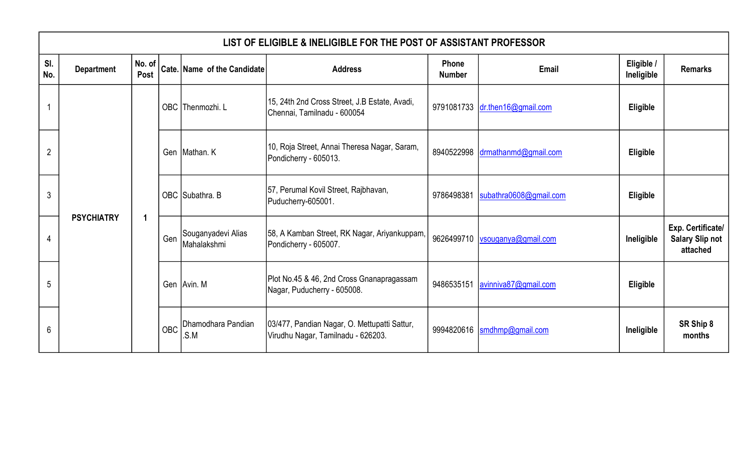|                | LIST OF ELIGIBLE & INELIGIBLE FOR THE POST OF ASSISTANT PROFESSOR |                    |            |                                   |                                                                                    |                        |                                  |                          |                                                         |  |  |  |  |
|----------------|-------------------------------------------------------------------|--------------------|------------|-----------------------------------|------------------------------------------------------------------------------------|------------------------|----------------------------------|--------------------------|---------------------------------------------------------|--|--|--|--|
| SI.<br>No.     | <b>Department</b>                                                 | No. of $ $<br>Post |            | Cate. Name of the Candidate       | <b>Address</b>                                                                     | Phone<br><b>Number</b> | Email                            | Eligible /<br>Ineligible | <b>Remarks</b>                                          |  |  |  |  |
|                |                                                                   |                    |            | OBC Thenmozhi. L                  | 15, 24th 2nd Cross Street, J.B Estate, Avadi,<br>Chennai, Tamilnadu - 600054       |                        | 9791081733 dr.then16@gmail.com   | <b>Eligible</b>          |                                                         |  |  |  |  |
| $\overline{2}$ |                                                                   |                    |            | Gen Mathan. K                     | 10, Roja Street, Annai Theresa Nagar, Saram,<br>Pondicherry - 605013.              |                        | 8940522998 drmathanmd@gmail.com  | Eligible                 |                                                         |  |  |  |  |
| 3              |                                                                   |                    |            | OBC Subathra. B                   | 57, Perumal Kovil Street, Rajbhavan,<br>Puducherry-605001.                         | 9786498381             | subathra0608@gmail.com           | Eligible                 |                                                         |  |  |  |  |
| 4              | <b>PSYCHIATRY</b>                                                 | -1                 | Gen        | Souganyadevi Alias<br>Mahalakshmi | 58, A Kamban Street, RK Nagar, Ariyankuppam,<br>Pondicherry - 605007.              |                        | 9626499710   vsouganya@gmail.com | Ineligible               | Exp. Certificate/<br><b>Salary Slip not</b><br>attached |  |  |  |  |
| 5              |                                                                   |                    |            | Gen Avin. M                       | Plot No.45 & 46, 2nd Cross Gnanapragassam<br>Nagar, Puducherry - 605008.           | 9486535151             | avinniva87@gmail.com             | Eligible                 |                                                         |  |  |  |  |
| 6              |                                                                   |                    | <b>OBC</b> | Dhamodhara Pandian<br>.S.M        | 03/477, Pandian Nagar, O. Mettupatti Sattur,<br>Virudhu Nagar, Tamilnadu - 626203. |                        | 9994820616  smdhmp@gmail.com     | Ineligible               | SR Ship 8<br>months                                     |  |  |  |  |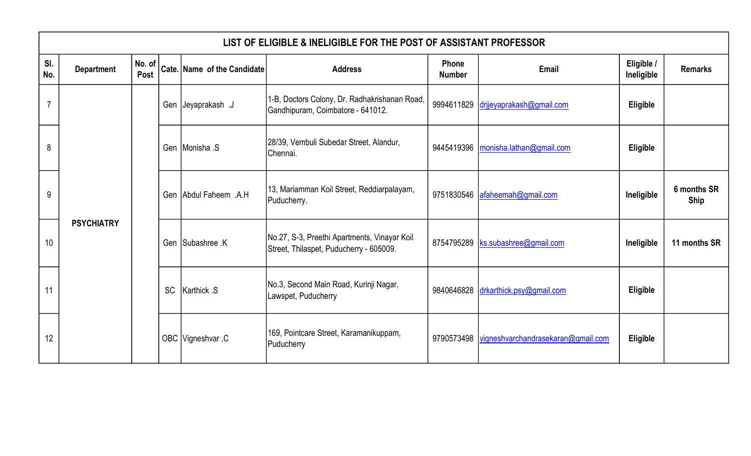|            | LIST OF ELIGIBLE & INELIGIBLE FOR THE POST OF ASSISTANT PROFESSOR |                |           |                             |                                                                                         |                        |                                                 |                          |                            |  |  |  |  |
|------------|-------------------------------------------------------------------|----------------|-----------|-----------------------------|-----------------------------------------------------------------------------------------|------------------------|-------------------------------------------------|--------------------------|----------------------------|--|--|--|--|
| SI.<br>No. | <b>Department</b>                                                 | No. of<br>Post |           | Cate. Name of the Candidate | <b>Address</b>                                                                          | Phone<br><b>Number</b> | Email                                           | Eligible /<br>Ineligible | <b>Remarks</b>             |  |  |  |  |
| 7          |                                                                   |                |           | Gen Ueyaprakash J           | 1-B, Doctors Colony, Dr. Radhakrishanan Road,<br>Gandhipuram, Coimbatore - 641012.      |                        | 9994611829 drijevaprakash@gmail.com             | <b>Eligible</b>          |                            |  |  |  |  |
| 8          |                                                                   |                |           | Gen Monisha .S              | [28/39, Vembuli Subedar Street, Alandur,<br>Chennai.                                    |                        | 9445419396   monisha.lathan@gmail.com           | Eligible                 |                            |  |  |  |  |
| 9          |                                                                   |                |           | Gen Abdul Faheem .A.H       | 13, Mariamman Koil Street, Reddiarpalayam,<br>Puducherry.                               | 9751830546             | afaheemah@gmail.com                             | Ineligible               | 6 months SR<br><b>Ship</b> |  |  |  |  |
| 10         | <b>PSYCHIATRY</b>                                                 |                |           | Gen Subashree .K            | No.27, S-3, Preethi Apartments, Vinayar Koil<br>Street, Thilaspet, Puducherry - 605009. | 8754795289             | ks.subashree@gmail.com                          | Ineligible               | 11 months SR               |  |  |  |  |
| 11         |                                                                   |                | <b>SC</b> | <b>Karthick S</b>           | No.3, Second Main Road, Kurinji Nagar,<br>Lawspet, Puducherry                           |                        | 9840646828 drkarthick.psy@gmail.com             | Eligible                 |                            |  |  |  |  |
| 12         |                                                                   |                |           | OBC Vigneshvar .C           | 169, Pointcare Street, Karamanikuppam,<br>Puducherry                                    |                        | 9790573498   vigneshvarchandrasekaran@gmail.com | <b>Eligible</b>          |                            |  |  |  |  |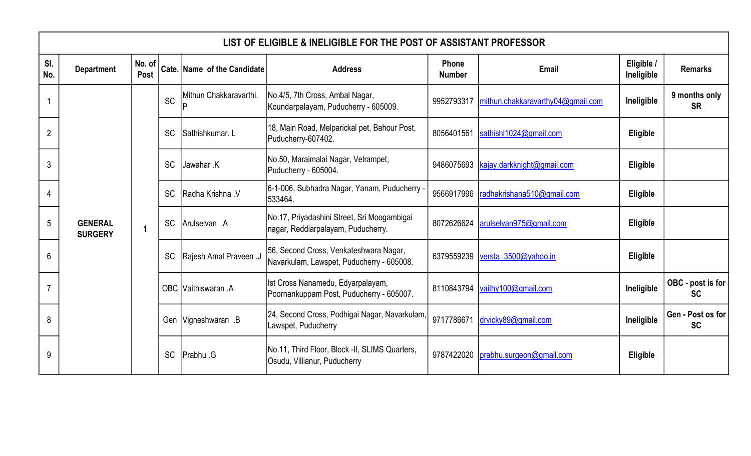|                | LIST OF ELIGIBLE & INELIGIBLE FOR THE POST OF ASSISTANT PROFESSOR |                         |           |                             |                                                                                     |                        |                                   |                          |                                |  |  |
|----------------|-------------------------------------------------------------------|-------------------------|-----------|-----------------------------|-------------------------------------------------------------------------------------|------------------------|-----------------------------------|--------------------------|--------------------------------|--|--|
| SI.<br>No.     | <b>Department</b>                                                 | No. of<br>Post          |           | Cate. Name of the Candidate | <b>Address</b>                                                                      | Phone<br><b>Number</b> | Email                             | Eligible /<br>Ineligible | <b>Remarks</b>                 |  |  |
|                |                                                                   |                         | <b>SC</b> | Mithun Chakkaravarthi.      | No.4/5, 7th Cross, Ambal Nagar,<br>Koundarpalayam, Puducherry - 605009.             | 9952793317             | mithun.chakkaravarthy04@gmail.com | Ineligible               | 9 months only<br><b>SR</b>     |  |  |
| $\overline{2}$ |                                                                   |                         | <b>SC</b> | Sathishkumar. L             | 18, Main Road, Melparickal pet, Bahour Post,<br>Puducherry-607402.                  | 8056401561             | sathish11024@gmail.com            | Eligible                 |                                |  |  |
| 3              |                                                                   |                         | <b>SC</b> | Jawahar .K                  | No.50, Maraimalai Nagar, Velrampet,<br>Puducherry - 605004.                         | 9486075693             | kajay.darkknight@gmail.com        | Eligible                 |                                |  |  |
| 4              |                                                                   |                         | <b>SC</b> | Radha Krishna V             | 6-1-006, Subhadra Nagar, Yanam, Puducherry -<br>533464.                             | 9566917996             | radhakrishana510@gmail.com        | Eligible                 |                                |  |  |
| 5              | <b>GENERAL</b><br><b>SURGERY</b>                                  | $\overline{\mathbf{1}}$ | <b>SC</b> | Arulselvan A                | No.17, Priyadashini Street, Sri Moogambigai<br>nagar, Reddiarpalayam, Puducherry.   | 8072626624             | arulselvan975@gmail.com           | Eligible                 |                                |  |  |
| 6              |                                                                   |                         | <b>SC</b> | Rajesh Amal Praveen .J      | 56, Second Cross, Venkateshwara Nagar,<br>Navarkulam, Lawspet, Puducherry - 605008. | 6379559239             | versta 3500@yahoo.in              | Eligible                 |                                |  |  |
|                |                                                                   |                         |           | OBC Vaithiswaran .A         | Ist Cross Nanamedu, Edyarpalayam,<br>Poornankuppam Post, Puducherry - 605007.       | 8110843794             | vaithy100@gmail.com               | Ineligible               | OBC - post is for<br><b>SC</b> |  |  |
| 8              |                                                                   |                         |           | Gen Vigneshwaran .B         | 24, Second Cross, Podhigai Nagar, Navarkulam,<br>Lawspet, Puducherry                | 9717786671             | drvicky89@gmail.com               | Ineligible               | Gen - Post os for<br><b>SC</b> |  |  |
| 9              |                                                                   |                         | <b>SC</b> | Prabhu .G                   | No.11, Third Floor, Block -II, SLIMS Quarters,<br>Osudu, Villianur, Puducherry      | 9787422020             | prabhu.surgeon@gmail.com          | Eligible                 |                                |  |  |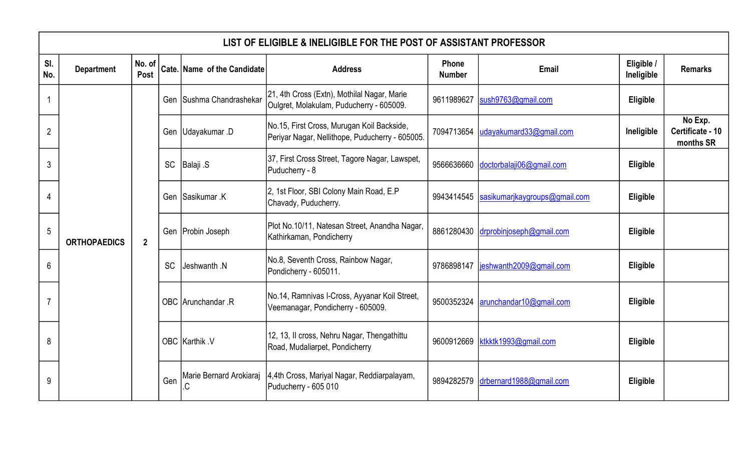|                | LIST OF ELIGIBLE & INELIGIBLE FOR THE POST OF ASSISTANT PROFESSOR |                |           |                              |                                                                                               |                                                                                    |                               |                          |                                          |  |  |  |
|----------------|-------------------------------------------------------------------|----------------|-----------|------------------------------|-----------------------------------------------------------------------------------------------|------------------------------------------------------------------------------------|-------------------------------|--------------------------|------------------------------------------|--|--|--|
| SI.<br>No.     | <b>Department</b>                                                 | No. of<br>Post |           | Cate. Name of the Candidate  | <b>Address</b>                                                                                | Phone<br><b>Number</b>                                                             | Email                         | Eligible /<br>Ineligible | <b>Remarks</b>                           |  |  |  |
|                |                                                                   |                |           | Gen Sushma Chandrashekar     | 21, 4th Cross (Extn), Mothilal Nagar, Marie<br>Oulgret, Molakulam, Puducherry - 605009.       | 9611989627                                                                         | sush9763@gmail.com            | Eligible                 |                                          |  |  |  |
| $\overline{2}$ |                                                                   |                |           | Gen Udayakumar .D            | No.15, First Cross, Murugan Koil Backside,<br>Periyar Nagar, Nellithope, Puducherry - 605005. | 7094713654                                                                         | udayakumard33@gmail.com       | Ineligible               | No Exp.<br>Certificate - 10<br>months SR |  |  |  |
| 3              |                                                                   |                | <b>SC</b> | <b>Balaji</b> .S             | 37, First Cross Street, Tagore Nagar, Lawspet,<br>Puducherry - 8                              | 9566636660                                                                         | doctorbalaji06@gmail.com      | Eligible                 |                                          |  |  |  |
| 4              |                                                                   |                |           | Gen Sasikumar K              | 2, 1st Floor, SBI Colony Main Road, E.P<br>Chavady, Puducherry.                               | 9943414545                                                                         | sasikumarjkaygroups@gmail.com | Eligible                 |                                          |  |  |  |
| $\overline{5}$ | <b>ORTHOPAEDICS</b>                                               | $\overline{2}$ |           | Gen Probin Joseph            | Plot No.10/11, Natesan Street, Anandha Nagar,<br>Kathirkaman, Pondicherry                     | 8861280430                                                                         | drprobinjoseph@gmail.com      | Eligible                 |                                          |  |  |  |
| 6              |                                                                   |                | <b>SC</b> | Jeshwanth .N                 | No.8, Seventh Cross, Rainbow Nagar,<br>Pondicherry - 605011.                                  | 9786898147                                                                         | jeshwanth2009@gmail.com       | Eligible                 |                                          |  |  |  |
|                |                                                                   |                |           |                              | OBC Arunchandar .R                                                                            | No.14, Ramnivas I-Cross, Ayyanar Koil Street,<br>Veemanagar, Pondicherry - 605009. | 9500352324                    | arunchandar10@gmail.com  | Eligible                                 |  |  |  |
| 8              |                                                                   |                |           | OBC Karthik .V               | 12, 13, Il cross, Nehru Nagar, Thengathittu<br>Road, Mudaliarpet, Pondicherry                 | 9600912669                                                                         | ktkktk1993@gmail.com          | Eligible                 |                                          |  |  |  |
| 9              |                                                                   |                | Gen       | Marie Bernard Arokiaraj<br>C | 4,4th Cross, Mariyal Nagar, Reddiarpalayam,<br>Puducherry - 605 010                           | 9894282579                                                                         | drbernard1988@gmail.com       | Eligible                 |                                          |  |  |  |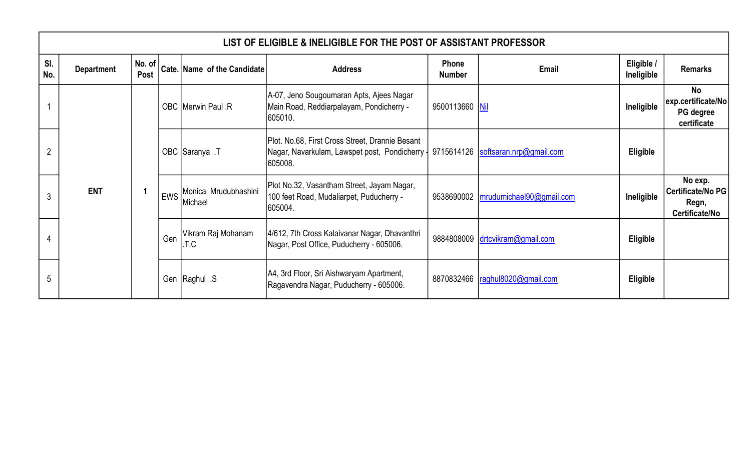|                | LIST OF ELIGIBLE & INELIGIBLE FOR THE POST OF ASSISTANT PROFESSOR |                        |     |                                 |                                                                                                              |                        |                                       |                          |                                                         |  |  |  |  |  |
|----------------|-------------------------------------------------------------------|------------------------|-----|---------------------------------|--------------------------------------------------------------------------------------------------------------|------------------------|---------------------------------------|--------------------------|---------------------------------------------------------|--|--|--|--|--|
| SI.<br>No.     | <b>Department</b>                                                 | No. of $\vert$<br>Post |     | Cate. Name of the Candidate     | <b>Address</b>                                                                                               | Phone<br><b>Number</b> | <b>Email</b>                          | Eligible /<br>Ineligible | <b>Remarks</b>                                          |  |  |  |  |  |
|                |                                                                   |                        |     | OBC Merwin Paul .R              | A-07, Jeno Sougoumaran Apts, Ajees Nagar<br>Main Road, Reddiarpalayam, Pondicherry -<br>605010.              | 9500113660 Nil         |                                       | Ineligible               | No<br>exp.certificate/No<br>PG degree<br>certificate    |  |  |  |  |  |
| $\overline{2}$ |                                                                   |                        |     | OBC Saranya .T                  | Plot. No.68, First Cross Street, Drannie Besant<br>Nagar, Navarkulam, Lawspet post, Pondicherry  <br>605008. |                        | 9715614126  softsaran.nrp@gmail.com   | Eligible                 |                                                         |  |  |  |  |  |
| 3              | <b>ENT</b>                                                        |                        | EWS | Monica Mrudubhashini<br>Michael | Plot No.32, Vasantham Street, Jayam Nagar,<br>100 feet Road, Mudaliarpet, Puducherry -<br>605004.            |                        | 9538690002   mrudumichael90@gmail.com | Ineligible               | No exp.<br>Certificate/No PG<br>Regn,<br>Certificate/No |  |  |  |  |  |
|                |                                                                   |                        | Gen | Vikram Raj Mohanam<br>.T.C      | 4/612, 7th Cross Kalaivanar Nagar, Dhavanthri<br>Nagar, Post Office, Puducherry - 605006.                    |                        | 9884808009 drtcvikram@gmail.com       | Eligible                 |                                                         |  |  |  |  |  |
| $\mathbf b$    |                                                                   |                        |     | S. Gen Raghul                   | A4, 3rd Floor, Sri Aishwaryam Apartment,<br>Ragavendra Nagar, Puducherry - 605006.                           |                        | 8870832466   raghul8020@gmail.com     | <b>Eligible</b>          |                                                         |  |  |  |  |  |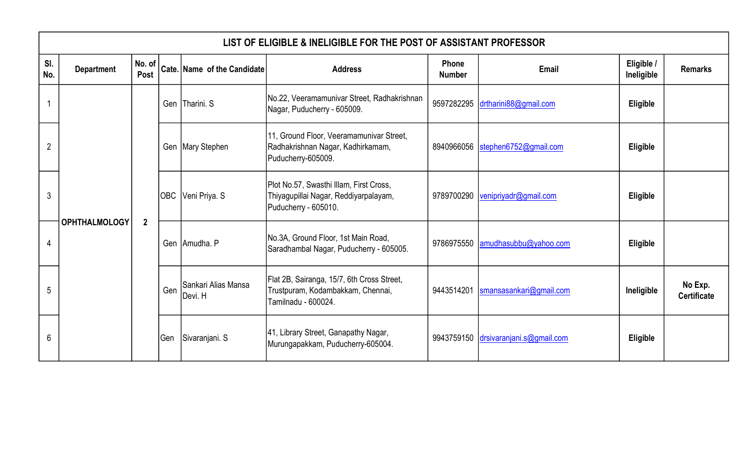|                | LIST OF ELIGIBLE & INELIGIBLE FOR THE POST OF ASSISTANT PROFESSOR |                |     |                                 |                                                                                                          |                               |                                      |                          |                               |  |  |  |  |
|----------------|-------------------------------------------------------------------|----------------|-----|---------------------------------|----------------------------------------------------------------------------------------------------------|-------------------------------|--------------------------------------|--------------------------|-------------------------------|--|--|--|--|
| SI.<br>No.     | <b>Department</b>                                                 | No. of<br>Post |     | Cate. Name of the Candidate     | <b>Address</b>                                                                                           | <b>Phone</b><br><b>Number</b> | Email                                | Eligible /<br>Ineligible | <b>Remarks</b>                |  |  |  |  |
|                |                                                                   |                |     | Gen Tharini. S                  | No.22, Veeramamunivar Street, Radhakrishnan<br>Nagar, Puducherry - 605009.                               | 9597282295                    | drtharini88@gmail.com                | Eligible                 |                               |  |  |  |  |
| $\overline{2}$ |                                                                   |                |     | Gen   Mary Stephen              | 11, Ground Floor, Veeramamunivar Street,<br>Radhakrishnan Nagar, Kadhirkamam,<br>Puducherry-605009.      |                               | 8940966056 stephen6752@gmail.com     | <b>Eligible</b>          |                               |  |  |  |  |
| 3              |                                                                   |                |     | OBC Veni Priya. S               | Plot No.57, Swasthi Illam, First Cross,<br>Thiyagupillai Nagar, Reddiyarpalayam,<br>Puducherry - 605010. | 9789700290                    | venipriyadr@gmail.com                | Eligible                 |                               |  |  |  |  |
| 4              | <b>OPHTHALMOLOGY</b>                                              | $\overline{2}$ |     | Gen Amudha. P                   | No.3A, Ground Floor, 1st Main Road,<br>Saradhambal Nagar, Puducherry - 605005.                           |                               | 9786975550 amudhasubbu@yahoo.com     | Eligible                 |                               |  |  |  |  |
| 5              |                                                                   |                | Gen | ISankari Alias Mansa<br>Devi. H | Flat 2B, Sairanga, 15/7, 6th Cross Street,<br>Trustpuram, Kodambakkam, Chennai,<br>Tamilnadu - 600024.   | 9443514201                    | smansasankari@gmail.com              | Ineligible               | No Exp.<br><b>Certificate</b> |  |  |  |  |
| 6              |                                                                   |                | Gen | Sivaranjani. S                  | 41, Library Street, Ganapathy Nagar,<br>Murungapakkam, Puducherry-605004.                                |                               | 9943759150 drsivaranjani.s@gmail.com | Eligible                 |                               |  |  |  |  |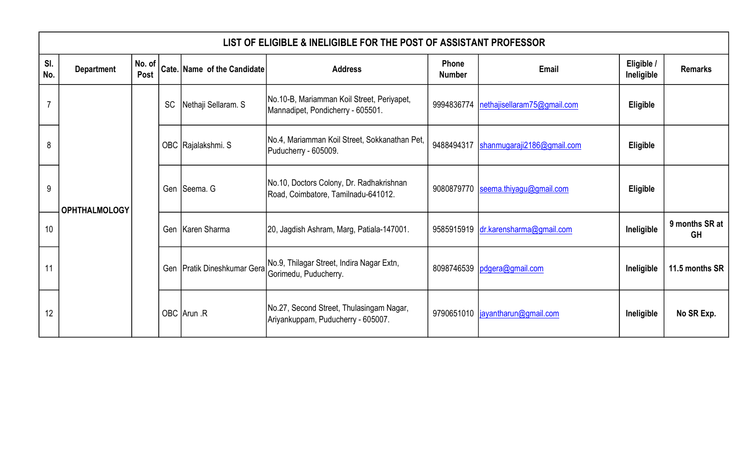|            | LIST OF ELIGIBLE & INELIGIBLE FOR THE POST OF ASSISTANT PROFESSOR |                |           |                             |                                                                                 |                        |                                        |                          |                      |  |  |  |  |
|------------|-------------------------------------------------------------------|----------------|-----------|-----------------------------|---------------------------------------------------------------------------------|------------------------|----------------------------------------|--------------------------|----------------------|--|--|--|--|
| SI.<br>No. | <b>Department</b>                                                 | No. of<br>Post |           | Cate. Name of the Candidate | <b>Address</b>                                                                  | Phone<br><b>Number</b> | Email                                  | Eligible /<br>Ineligible | <b>Remarks</b>       |  |  |  |  |
| 7          |                                                                   |                | <b>SC</b> | Nethaji Sellaram. S         | No.10-B, Mariamman Koil Street, Periyapet,<br>Mannadipet, Pondicherry - 605501. | 9994836774             | nethajisellaram75@gmail.com            | Eligible                 |                      |  |  |  |  |
| 8          |                                                                   |                |           | OBC Rajalakshmi. S          | No.4, Mariamman Koil Street, Sokkanathan Pet,<br>Puducherry - 605009.           |                        | 9488494317  shanmugaraji2186@gmail.com | <b>Eligible</b>          |                      |  |  |  |  |
| 9          | <b>OPHTHALMOLOGY</b>                                              |                |           | Gen Seema. G                | No.10, Doctors Colony, Dr. Radhakrishnan<br>Road, Coimbatore, Tamilnadu-641012. |                        | 9080879770 seema.thiyagu@gmail.com     | Eligible                 |                      |  |  |  |  |
| 10         |                                                                   |                |           | Gen   Karen Sharma          | 20, Jagdish Ashram, Marg, Patiala-147001.                                       |                        | 9585915919 dr.karensharma@gmail.com    | Ineligible               | 9 months SR at<br>GH |  |  |  |  |
| 11         |                                                                   |                |           | Gen Pratik Dineshkumar Gera | No.9, Thilagar Street, Indira Nagar Extn,<br>Gorimedu, Puducherry.              |                        | 8098746539   pdgera@gmail.com          | Ineligible               | 11.5 months SR       |  |  |  |  |
| 12         |                                                                   |                |           | OBC Arun .R                 | No.27, Second Street, Thulasingam Nagar,<br>Ariyankuppam, Puducherry - 605007.  |                        | 9790651010  jayantharun@gmail.com      | Ineligible               | No SR Exp.           |  |  |  |  |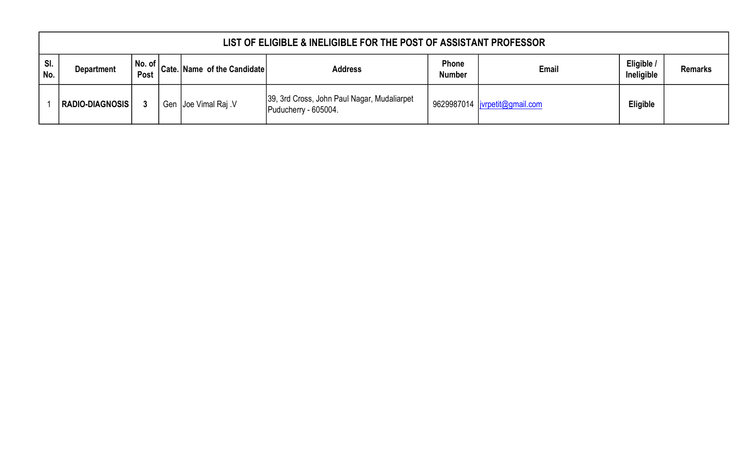|              | LIST OF ELIGIBLE & INELIGIBLE FOR THE POST OF ASSISTANT PROFESSOR |      |  |                                                                                                                                  |                                                                     |                               |                                |                          |                |  |  |  |
|--------------|-------------------------------------------------------------------|------|--|----------------------------------------------------------------------------------------------------------------------------------|---------------------------------------------------------------------|-------------------------------|--------------------------------|--------------------------|----------------|--|--|--|
| SI.<br>l No. | <b>Department</b>                                                 | Post |  | $\begin{vmatrix} 1 & 1 \\ 1 & 1 \end{vmatrix}$ No. of $\begin{vmatrix} 1 & 1 \\ 0 & 1 \end{vmatrix}$ Cate. Name of the Candidate | <b>Address</b>                                                      | <b>Phone</b><br><b>Number</b> | Email                          | Eligible /<br>Ineligible | <b>Remarks</b> |  |  |  |
|              | RADIO-DIAGNOSIS                                                   |      |  | Gen Joe Vimal Raj V                                                                                                              | 39, 3rd Cross, John Paul Nagar, Mudaliarpet<br>Puducherry - 605004. |                               | 9629987014  jvrpetit@gmail.com | Eligible                 |                |  |  |  |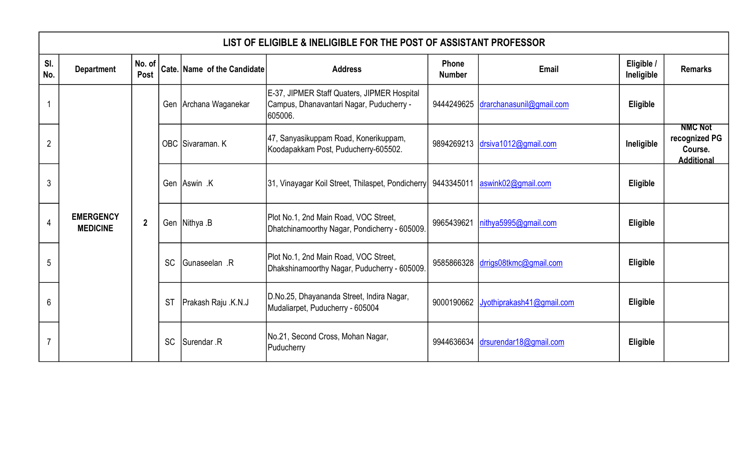|                | LIST OF ELIGIBLE & INELIGIBLE FOR THE POST OF ASSISTANT PROFESSOR |                |           |                             |                                                                                                    |                        |                                     |                          |                                                                 |  |  |
|----------------|-------------------------------------------------------------------|----------------|-----------|-----------------------------|----------------------------------------------------------------------------------------------------|------------------------|-------------------------------------|--------------------------|-----------------------------------------------------------------|--|--|
| SI.<br>No.     | <b>Department</b>                                                 | No. of<br>Post |           | Cate. Name of the Candidate | <b>Address</b>                                                                                     | Phone<br><b>Number</b> | Email                               | Eligible /<br>Ineligible | <b>Remarks</b>                                                  |  |  |
|                |                                                                   |                |           | Gen Archana Waganekar       | E-37, JIPMER Staff Quaters, JIPMER Hospital<br>Campus, Dhanavantari Nagar, Puducherry -<br>605006. |                        | 9444249625 drarchanasunil@gmail.com | Eligible                 |                                                                 |  |  |
| $\overline{2}$ |                                                                   |                |           | OBC Sivaraman. K            | 47, Sanyasikuppam Road, Konerikuppam,<br>Koodapakkam Post, Puducherry-605502.                      |                        | 9894269213 drsiva1012@gmail.com     | Ineligible               | <b>NMC Not</b><br>recognized PG<br>Course.<br><b>Additional</b> |  |  |
| 3              |                                                                   |                |           | Gen Aswin K                 | 31, Vinayagar Koil Street, Thilaspet, Pondicherry 9443345011 aswink02@gmail.com                    |                        |                                     | Eligible                 |                                                                 |  |  |
| 4              | <b>EMERGENCY</b><br><b>MEDICINE</b>                               | $\mathbf{2}$   |           | Gen Nithya .B               | Plot No.1, 2nd Main Road, VOC Street,<br>Dhatchinamoorthy Nagar, Pondicherry - 605009.             | 9965439621             | nithya5995@gmail.com                | Eligible                 |                                                                 |  |  |
| 5              |                                                                   |                | <b>SC</b> | <b>Gunaseelan</b> .R        | Plot No.1, 2nd Main Road, VOC Street,<br>Dhakshinamoorthy Nagar, Puducherry - 605009.              |                        | 9585866328 drrigs08tkmc@gmail.com   | Eligible                 |                                                                 |  |  |
| 6              |                                                                   |                | <b>ST</b> | Prakash Raju .K.N.J         | D.No.25, Dhayananda Street, Indira Nagar,<br>Mudaliarpet, Puducherry - 605004                      | 9000190662             | Jyothiprakash41@gmail.com           | <b>Eligible</b>          |                                                                 |  |  |
|                |                                                                   |                | <b>SC</b> | Surendar .R                 | No.21, Second Cross, Mohan Nagar,<br>Puducherry                                                    |                        | 9944636634 drsurendar18@gmail.com   | Eligible                 |                                                                 |  |  |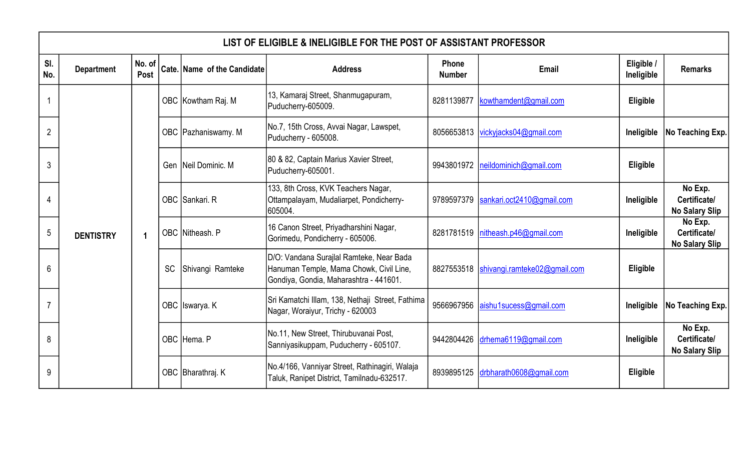|                | LIST OF ELIGIBLE & INELIGIBLE FOR THE POST OF ASSISTANT PROFESSOR |                       |           |                             |                                                                                                                               |                        |                                         |                          |                                                  |  |  |  |  |  |  |  |                   |                                                                                              |            |                         |          |  |
|----------------|-------------------------------------------------------------------|-----------------------|-----------|-----------------------------|-------------------------------------------------------------------------------------------------------------------------------|------------------------|-----------------------------------------|--------------------------|--------------------------------------------------|--|--|--|--|--|--|--|-------------------|----------------------------------------------------------------------------------------------|------------|-------------------------|----------|--|
| SI.<br>No.     | <b>Department</b>                                                 | No. of<br><b>Post</b> |           | Cate. Name of the Candidate | <b>Address</b>                                                                                                                | Phone<br><b>Number</b> | Email                                   | Eligible /<br>Ineligible | <b>Remarks</b>                                   |  |  |  |  |  |  |  |                   |                                                                                              |            |                         |          |  |
|                |                                                                   |                       |           | OBC Kowtham Raj. M          | 13, Kamaraj Street, Shanmugapuram,<br>Puducherry-605009.                                                                      | 8281139877             | kowthamdent@gmail.com                   | Eligible                 |                                                  |  |  |  |  |  |  |  |                   |                                                                                              |            |                         |          |  |
| $\overline{2}$ |                                                                   |                       |           | OBC   Pazhaniswamy. M       | No.7, 15th Cross, Avvai Nagar, Lawspet,<br>Puducherry - 605008.                                                               |                        | 8056653813 vickyjacks04@gmail.com       | Ineligible               | No Teaching Exp.                                 |  |  |  |  |  |  |  |                   |                                                                                              |            |                         |          |  |
| 3              |                                                                   |                       |           | Gen Neil Dominic. M         | 80 & 82, Captain Marius Xavier Street,<br>Puducherry-605001.                                                                  |                        | 9943801972 neildominich@gmail.com       | Eligible                 |                                                  |  |  |  |  |  |  |  |                   |                                                                                              |            |                         |          |  |
| 4              |                                                                   |                       |           | OBC Sankari. R              | 133, 8th Cross, KVK Teachers Nagar,<br>Ottampalayam, Mudaliarpet, Pondicherry-<br>605004.                                     | 9789597379             | sankari.oct2410@gmail.com               | Ineligible               | No Exp.<br>Certificate/<br><b>No Salary Slip</b> |  |  |  |  |  |  |  |                   |                                                                                              |            |                         |          |  |
| $\overline{5}$ | <b>DENTISTRY</b>                                                  | $\overline{1}$        |           | OBC Nitheash. P             | 16 Canon Street, Priyadharshini Nagar,<br>Gorimedu, Pondicherry - 605006.                                                     |                        | 8281781519   nitheash.p46@gmail.com     | Ineligible               | No Exp.<br>Certificate/<br><b>No Salary Slip</b> |  |  |  |  |  |  |  |                   |                                                                                              |            |                         |          |  |
| 6              |                                                                   |                       | <b>SC</b> | Shivangi Ramteke            | D/O: Vandana Surajlal Ramteke, Near Bada<br>Hanuman Temple, Mama Chowk, Civil Line,<br>Gondiya, Gondia, Maharashtra - 441601. |                        | 8827553518 shivangi.ramteke02@gmail.com | <b>Eligible</b>          |                                                  |  |  |  |  |  |  |  |                   |                                                                                              |            |                         |          |  |
| 7              |                                                                   |                       |           | OBC Iswarya. K              | Sri Kamatchi Illam, 138, Nethaji Street, Fathima<br>Nagar, Woraiyur, Trichy - 620003                                          | 9566967956             | aishu1sucess@gmail.com                  | Ineligible               | No Teaching Exp.                                 |  |  |  |  |  |  |  |                   |                                                                                              |            |                         |          |  |
| 8              |                                                                   |                       |           | OBC Hema. P                 | No.11, New Street, Thirubuvanai Post,<br>Sanniyasikuppam, Puducherry - 605107.                                                | 9442804426             | drhema6119@gmail.com                    | Ineligible               | No Exp.<br>Certificate/<br><b>No Salary Slip</b> |  |  |  |  |  |  |  |                   |                                                                                              |            |                         |          |  |
| 9              |                                                                   |                       |           |                             |                                                                                                                               |                        |                                         |                          |                                                  |  |  |  |  |  |  |  | OBC Bharathraj. K | No.4/166, Vanniyar Street, Rathinagiri, Walaja<br>Taluk, Ranipet District, Tamilnadu-632517. | 8939895125 | drbharath0608@gmail.com | Eligible |  |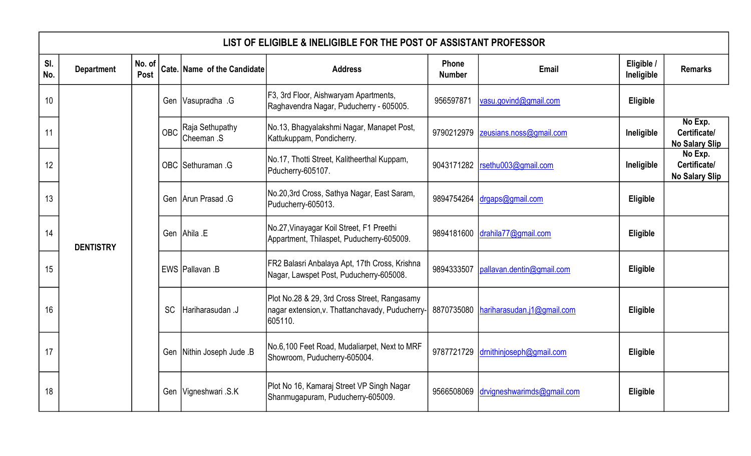|            | LIST OF ELIGIBLE & INELIGIBLE FOR THE POST OF ASSISTANT PROFESSOR |                |  |                             |                |                        |            |                                      |                                                                                  |           |                                    |                                                                                          |                                                  |                                                                  |                                                                                       |                     |                                |                                                  |                                                                  |  |                                                                         |                 |                                                                                                            |            |                            |          |  |
|------------|-------------------------------------------------------------------|----------------|--|-----------------------------|----------------|------------------------|------------|--------------------------------------|----------------------------------------------------------------------------------|-----------|------------------------------------|------------------------------------------------------------------------------------------|--------------------------------------------------|------------------------------------------------------------------|---------------------------------------------------------------------------------------|---------------------|--------------------------------|--------------------------------------------------|------------------------------------------------------------------|--|-------------------------------------------------------------------------|-----------------|------------------------------------------------------------------------------------------------------------|------------|----------------------------|----------|--|
| SI.<br>No. | <b>Department</b>                                                 | No. of<br>Post |  | Cate. Name of the Candidate | <b>Address</b> | Phone<br><b>Number</b> | Email      | Eligible /<br>Ineligible             | <b>Remarks</b>                                                                   |           |                                    |                                                                                          |                                                  |                                                                  |                                                                                       |                     |                                |                                                  |                                                                  |  |                                                                         |                 |                                                                                                            |            |                            |          |  |
| 10         |                                                                   |                |  |                             |                |                        |            | Gen Vasupradha .G                    | F3, 3rd Floor, Aishwaryam Apartments,<br>Raghavendra Nagar, Puducherry - 605005. | 956597871 | vasu.govind@gmail.com              | Eligible                                                                                 |                                                  |                                                                  |                                                                                       |                     |                                |                                                  |                                                                  |  |                                                                         |                 |                                                                                                            |            |                            |          |  |
| 11         |                                                                   |                |  |                             |                |                        | <b>OBC</b> | Raja Sethupathy<br><b>Cheeman</b> .S | No.13, Bhagyalakshmi Nagar, Manapet Post,<br>Kattukuppam, Pondicherry.           |           | 9790212979 zeusians.noss@gmail.com | Ineligible                                                                               | No Exp.<br>Certificate/<br><b>No Salary Slip</b> |                                                                  |                                                                                       |                     |                                |                                                  |                                                                  |  |                                                                         |                 |                                                                                                            |            |                            |          |  |
| 12         |                                                                   |                |  |                             |                |                        |            |                                      |                                                                                  |           |                                    |                                                                                          | OBC Sethuraman .G                                | No.17, Thotti Street, Kalitheerthal Kuppam,<br>Pducherry-605107. | 9043171282                                                                            | rsethu003@gmail.com | Ineligible                     | No Exp.<br>Certificate/<br><b>No Salary Slip</b> |                                                                  |  |                                                                         |                 |                                                                                                            |            |                            |          |  |
| 13         |                                                                   |                |  |                             |                |                        |            |                                      |                                                                                  |           |                                    |                                                                                          |                                                  |                                                                  |                                                                                       |                     |                                | Gen Arun Prasad .G                               | No.20,3rd Cross, Sathya Nagar, East Saram,<br>Puducherry-605013. |  | 9894754264 $\frac{drq}{d\theta}$ $\frac{qq}{r}$ and $\frac{r}{d\theta}$ | Eligible        |                                                                                                            |            |                            |          |  |
| 14         | <b>DENTISTRY</b>                                                  |                |  |                             |                |                        |            |                                      |                                                                                  |           |                                    |                                                                                          |                                                  | Gen Ahila E                                                      | No.27, Vinayagar Koil Street, F1 Preethi<br>Appartment, Thilaspet, Puducherry-605009. |                     | 9894181600 drahila77@gmail.com | Eligible                                         |                                                                  |  |                                                                         |                 |                                                                                                            |            |                            |          |  |
| 15         |                                                                   |                |  |                             |                |                        |            |                                      |                                                                                  |           | EWS Pallavan .B                    | FR2 Balasri Anbalaya Apt, 17th Cross, Krishna<br>Nagar, Lawspet Post, Puducherry-605008. | 9894333507                                       | pallavan.dentin@gmail.com                                        | Eligible                                                                              |                     |                                |                                                  |                                                                  |  |                                                                         |                 |                                                                                                            |            |                            |          |  |
| 16         |                                                                   |                |  |                             |                |                        |            |                                      |                                                                                  |           |                                    |                                                                                          |                                                  |                                                                  |                                                                                       |                     |                                |                                                  |                                                                  |  | <b>SC</b>                                                               | Hariharasudan J | Plot No.28 & 29, 3rd Cross Street, Rangasamy<br>nagar extension, v. Thattanchavady, Puducherry-<br>605110. | 8870735080 | hariharasudan.j1@gmail.com | Eligible |  |
| 17         |                                                                   |                |  |                             |                |                        |            |                                      |                                                                                  |           |                                    |                                                                                          |                                                  |                                                                  |                                                                                       |                     |                                |                                                  |                                                                  |  |                                                                         |                 |                                                                                                            |            |                            |          |  |
| 18         |                                                                   |                |  |                             |                |                        |            |                                      |                                                                                  |           | Gen Vigneshwari S.K                | Plot No 16, Kamaraj Street VP Singh Nagar<br>Shanmugapuram, Puducherry-605009.           | 9566508069                                       | drvigneshwarimds@gmail.com                                       | Eligible                                                                              |                     |                                |                                                  |                                                                  |  |                                                                         |                 |                                                                                                            |            |                            |          |  |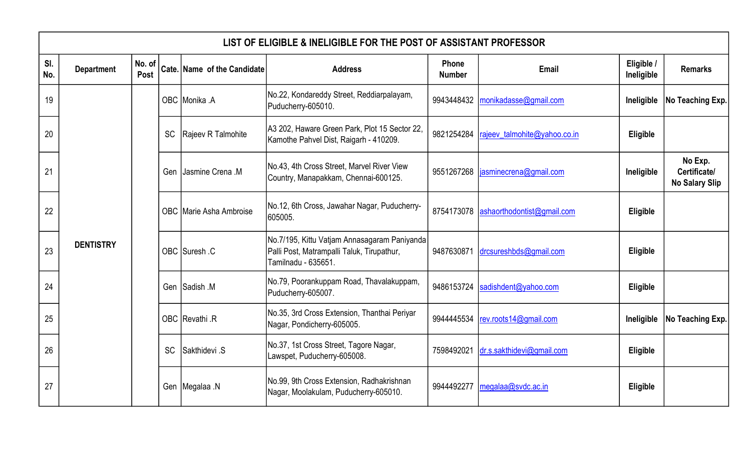|            | LIST OF ELIGIBLE & INELIGIBLE FOR THE POST OF ASSISTANT PROFESSOR |                |           |                             |                                                                                                                    |                               |                                    |                          |                  |                                                                                    |  |                                  |            |                                                  |                                                         |  |                                       |          |  |           |               |                                                                       |            |                           |          |  |  |  |  |               |                                                                            |            |                       |            |                  |
|------------|-------------------------------------------------------------------|----------------|-----------|-----------------------------|--------------------------------------------------------------------------------------------------------------------|-------------------------------|------------------------------------|--------------------------|------------------|------------------------------------------------------------------------------------|--|----------------------------------|------------|--------------------------------------------------|---------------------------------------------------------|--|---------------------------------------|----------|--|-----------|---------------|-----------------------------------------------------------------------|------------|---------------------------|----------|--|--|--|--|---------------|----------------------------------------------------------------------------|------------|-----------------------|------------|------------------|
| SI.<br>No. | <b>Department</b>                                                 | No. of<br>Post |           | Cate. Name of the Candidate | <b>Address</b>                                                                                                     | <b>Phone</b><br><b>Number</b> | Email                              | Eligible /<br>Ineligible | <b>Remarks</b>   |                                                                                    |  |                                  |            |                                                  |                                                         |  |                                       |          |  |           |               |                                                                       |            |                           |          |  |  |  |  |               |                                                                            |            |                       |            |                  |
| 19         |                                                                   |                |           | OBC Monika .A               | No.22, Kondareddy Street, Reddiarpalayam,<br>Puducherry-605010.                                                    |                               | 9943448432   monikadasse@gmail.com | Ineligible               | No Teaching Exp. |                                                                                    |  |                                  |            |                                                  |                                                         |  |                                       |          |  |           |               |                                                                       |            |                           |          |  |  |  |  |               |                                                                            |            |                       |            |                  |
| 20         |                                                                   |                | <b>SC</b> | Rajeev R Talmohite          | A3 202, Haware Green Park, Plot 15 Sector 22,<br>Kamothe Pahvel Dist, Raigarh - 410209.                            | 9821254284                    | rajeev_talmohite@yahoo.co.in       | Eligible                 |                  |                                                                                    |  |                                  |            |                                                  |                                                         |  |                                       |          |  |           |               |                                                                       |            |                           |          |  |  |  |  |               |                                                                            |            |                       |            |                  |
| 21         |                                                                   |                |           |                             |                                                                                                                    |                               |                                    | Gen                      | Jasmine Crena .M | No.43, 4th Cross Street, Marvel River View<br>Country, Manapakkam, Chennai-600125. |  | 9551267268 asminecrena@gmail.com | Ineligible | No Exp.<br>Certificate/<br><b>No Salary Slip</b> |                                                         |  |                                       |          |  |           |               |                                                                       |            |                           |          |  |  |  |  |               |                                                                            |            |                       |            |                  |
| 22         |                                                                   |                |           |                             |                                                                                                                    |                               |                                    |                          |                  |                                                                                    |  |                                  |            | OBC Marie Asha Ambroise                          | No.12, 6th Cross, Jawahar Nagar, Puducherry-<br>605005. |  | 8754173078 ashaorthodontist@gmail.com | Eligible |  |           |               |                                                                       |            |                           |          |  |  |  |  |               |                                                                            |            |                       |            |                  |
| 23         | <b>DENTISTRY</b>                                                  |                |           | OBC Suresh .C               | No. 7/195, Kittu Vatjam Annasagaram Paniyanda<br>Palli Post, Matrampalli Taluk, Tirupathur,<br>Tamilnadu - 635651. | 9487630871                    | drcsureshbds@gmail.com             | Eligible                 |                  |                                                                                    |  |                                  |            |                                                  |                                                         |  |                                       |          |  |           |               |                                                                       |            |                           |          |  |  |  |  |               |                                                                            |            |                       |            |                  |
| 24         |                                                                   |                |           | Gen Sadish M                | No.79, Poorankuppam Road, Thavalakuppam,<br>Puducherry-605007.                                                     | 9486153724                    | sadishdent@yahoo.com               | Eligible                 |                  |                                                                                    |  |                                  |            |                                                  |                                                         |  |                                       |          |  |           |               |                                                                       |            |                           |          |  |  |  |  |               |                                                                            |            |                       |            |                  |
| 25         |                                                                   |                |           |                             |                                                                                                                    |                               |                                    |                          |                  |                                                                                    |  |                                  |            |                                                  |                                                         |  |                                       |          |  |           |               |                                                                       |            |                           |          |  |  |  |  | OBC Revathi R | No.35, 3rd Cross Extension, Thanthai Periyar<br>Nagar, Pondicherry-605005. | 9944445534 | rev.roots14@gmail.com | Ineligible | No Teaching Exp. |
| 26         |                                                                   |                |           |                             |                                                                                                                    |                               |                                    |                          |                  |                                                                                    |  |                                  |            |                                                  |                                                         |  |                                       |          |  | <b>SC</b> | Sakthidevi .S | No.37, 1st Cross Street, Tagore Nagar,<br>Lawspet, Puducherry-605008. | 7598492021 | dr.s.sakthidevi@gmail.com | Eligible |  |  |  |  |               |                                                                            |            |                       |            |                  |
| 27         |                                                                   |                |           | Gen Megalaa N               | No.99, 9th Cross Extension, Radhakrishnan<br>Nagar, Moolakulam, Puducherry-605010.                                 |                               | 9944492277 megalaa@svdc.ac.in      | Eligible                 |                  |                                                                                    |  |                                  |            |                                                  |                                                         |  |                                       |          |  |           |               |                                                                       |            |                           |          |  |  |  |  |               |                                                                            |            |                       |            |                  |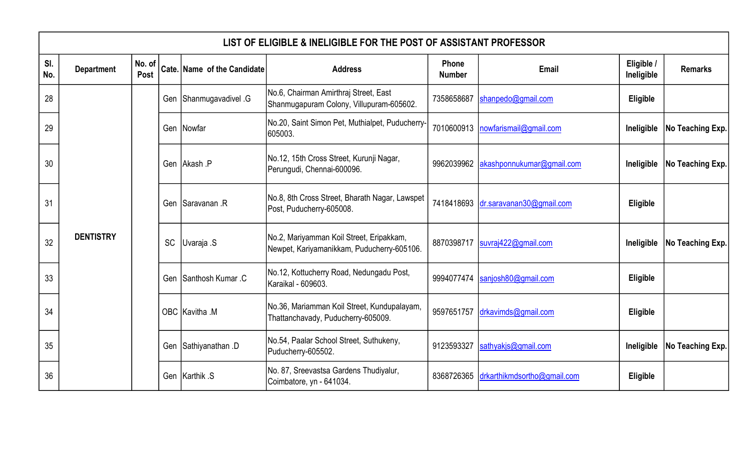|            | LIST OF ELIGIBLE & INELIGIBLE FOR THE POST OF ASSISTANT PROFESSOR |                |    |                             |                                                                                        |                        |                                                                                   |                          |                               |          |  |  |                 |                                                                            |  |                                     |          |  |  |  |  |                      |                                                               |            |                     |            |                  |  |  |  |  |  |  |  |               |                                                                                   |            |                     |          |  |
|------------|-------------------------------------------------------------------|----------------|----|-----------------------------|----------------------------------------------------------------------------------------|------------------------|-----------------------------------------------------------------------------------|--------------------------|-------------------------------|----------|--|--|-----------------|----------------------------------------------------------------------------|--|-------------------------------------|----------|--|--|--|--|----------------------|---------------------------------------------------------------|------------|---------------------|------------|------------------|--|--|--|--|--|--|--|---------------|-----------------------------------------------------------------------------------|------------|---------------------|----------|--|
| SI.<br>No. | <b>Department</b>                                                 | No. of<br>Post |    | Cate. Name of the Candidate | <b>Address</b>                                                                         | Phone<br><b>Number</b> | Email                                                                             | Eligible /<br>Ineligible | <b>Remarks</b>                |          |  |  |                 |                                                                            |  |                                     |          |  |  |  |  |                      |                                                               |            |                     |            |                  |  |  |  |  |  |  |  |               |                                                                                   |            |                     |          |  |
| 28         |                                                                   |                |    |                             |                                                                                        | Gen Shanmugavadivel .G | No.6, Chairman Amirthraj Street, East<br>Shanmugapuram Colony, Villupuram-605602. | 7358658687               | shanpedo@gmail.com            | Eligible |  |  |                 |                                                                            |  |                                     |          |  |  |  |  |                      |                                                               |            |                     |            |                  |  |  |  |  |  |  |  |               |                                                                                   |            |                     |          |  |
| 29         |                                                                   |                |    | Gen Nowfar                  | No.20, Saint Simon Pet, Muthialpet, Puducherry-<br>605003.                             | 7010600913             | nowfarismail@gmail.com                                                            |                          | Ineligible   No Teaching Exp. |          |  |  |                 |                                                                            |  |                                     |          |  |  |  |  |                      |                                                               |            |                     |            |                  |  |  |  |  |  |  |  |               |                                                                                   |            |                     |          |  |
| 30         |                                                                   |                |    | Gen Akash P                 | No.12, 15th Cross Street, Kurunji Nagar,<br>Perungudi, Chennai-600096.                 | 9962039962             | akashponnukumar@gmail.com                                                         |                          | Ineligible   No Teaching Exp. |          |  |  |                 |                                                                            |  |                                     |          |  |  |  |  |                      |                                                               |            |                     |            |                  |  |  |  |  |  |  |  |               |                                                                                   |            |                     |          |  |
| 31         |                                                                   |                |    |                             |                                                                                        |                        |                                                                                   |                          |                               |          |  |  | Gen Saravanan R | No.8, 8th Cross Street, Bharath Nagar, Lawspet<br>Post, Puducherry-605008. |  | 7418418693 dr.saravanan30@gmail.com | Eligible |  |  |  |  |                      |                                                               |            |                     |            |                  |  |  |  |  |  |  |  |               |                                                                                   |            |                     |          |  |
| 32         | <b>DENTISTRY</b>                                                  |                | SC | Uvaraja .S                  | No.2, Mariyamman Koil Street, Eripakkam,<br>Newpet, Kariyamanikkam, Puducherry-605106. |                        | 8870398717  suvraj422@gmail.com                                                   |                          | Ineligible   No Teaching Exp. |          |  |  |                 |                                                                            |  |                                     |          |  |  |  |  |                      |                                                               |            |                     |            |                  |  |  |  |  |  |  |  |               |                                                                                   |            |                     |          |  |
| 33         |                                                                   |                |    | Gen Santhosh Kumar .C       | No.12, Kottucherry Road, Nedungadu Post,<br>Karaikal - 609603.                         | 9994077474             | sanjosh80@gmail.com                                                               | Eligible                 |                               |          |  |  |                 |                                                                            |  |                                     |          |  |  |  |  |                      |                                                               |            |                     |            |                  |  |  |  |  |  |  |  |               |                                                                                   |            |                     |          |  |
| 34         |                                                                   |                |    |                             |                                                                                        |                        |                                                                                   |                          |                               |          |  |  |                 |                                                                            |  |                                     |          |  |  |  |  |                      |                                                               |            |                     |            |                  |  |  |  |  |  |  |  | OBC Kavitha M | No.36, Mariamman Koil Street, Kundupalayam,<br>Thattanchavady, Puducherry-605009. | 9597651757 | drkavimds@gmail.com | Eligible |  |
| 35         |                                                                   |                |    |                             |                                                                                        |                        |                                                                                   |                          |                               |          |  |  |                 |                                                                            |  |                                     |          |  |  |  |  | Gen Sathiyanathan .D | No.54, Paalar School Street, Suthukeny,<br>Puducherry-605502. | 9123593327 | sathyakjs@gmail.com | Ineligible | No Teaching Exp. |  |  |  |  |  |  |  |               |                                                                                   |            |                     |          |  |
| 36         |                                                                   |                |    | Gen Karthik .S              | No. 87, Sreevastsa Gardens Thudiyalur,<br>Coimbatore, yn - 641034.                     | 8368726365             | drkarthikmdsortho@gmail.com                                                       | Eligible                 |                               |          |  |  |                 |                                                                            |  |                                     |          |  |  |  |  |                      |                                                               |            |                     |            |                  |  |  |  |  |  |  |  |               |                                                                                   |            |                     |          |  |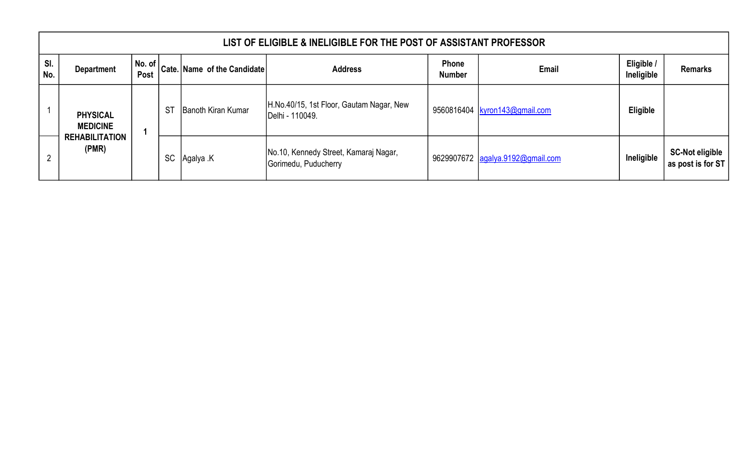|            | LIST OF ELIGIBLE & INELIGIBLE FOR THE POST OF ASSISTANT PROFESSOR |      |           |                                                                                                                                                                          |                                                               |                                                             |                                  |                               |                                             |  |  |  |
|------------|-------------------------------------------------------------------|------|-----------|--------------------------------------------------------------------------------------------------------------------------------------------------------------------------|---------------------------------------------------------------|-------------------------------------------------------------|----------------------------------|-------------------------------|---------------------------------------------|--|--|--|
| SI.<br>No. | <b>Department</b>                                                 | Post |           | $\left  \begin{array}{c} \textsf{No. of} \\ \textsf{-} \end{array} \right $ Cate. Name of the Candidate $\left  \begin{array}{c} \textsf{No. of} \\ \end{array} \right $ | <b>Address</b>                                                | <b>Phone</b><br><b>Number</b>                               | <b>Email</b>                     | Eligible /<br>Ineligible      | <b>Remarks</b>                              |  |  |  |
|            | <b>PHYSICAL</b><br><b>MEDICINE</b>                                |      |           | <b>ST</b>                                                                                                                                                                | Banoth Kiran Kumar                                            | H.No.40/15, 1st Floor, Gautam Nagar, New<br>Delhi - 110049. |                                  | 9560816404 kyron143@gmail.com | Eligible                                    |  |  |  |
| 2          | <b>REHABILITATION</b><br>(PMR)                                    |      | <b>SC</b> | Agalya .K                                                                                                                                                                | No.10, Kennedy Street, Kamaraj Nagar,<br>Gorimedu, Puducherry |                                                             | 9629907672 agalya.9192@gmail.com | Ineligible                    | <b>SC-Not eligible</b><br>as post is for ST |  |  |  |